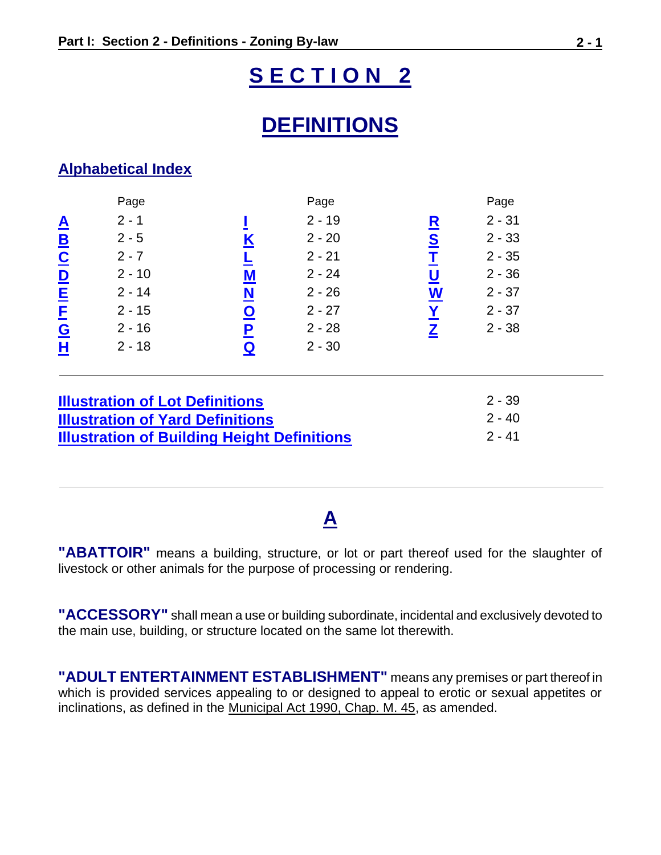## **S E C T I O N 2**

## **DEFINITIONS**

#### **Alphabetical Index**

|                         | Page     |          | Page     |          | Page     |
|-------------------------|----------|----------|----------|----------|----------|
| $\overline{\mathbf{A}}$ | $2 - 1$  |          | $2 - 19$ | R        | $2 - 31$ |
| $\overline{\mathbf{B}}$ | $2 - 5$  |          | $2 - 20$ | <u>s</u> | $2 - 33$ |
| $\overline{c}$          | $2 - 7$  |          | $2 - 21$ |          | $2 - 35$ |
| $\overline{\mathbf{D}}$ | $2 - 10$ | M        | $2 - 24$ |          | $2 - 36$ |
| <u>E</u>                | $2 - 14$ | <u>N</u> | $2 - 26$ | <u>W</u> | $2 - 37$ |
| E                       | $2 - 15$ | <u>ဝ</u> | $2 - 27$ |          | $2 - 37$ |
| <u>G</u>                | $2 - 16$ | Ρ        | $2 - 28$ |          | $2 - 38$ |
| Н                       | $2 - 18$ | Q        | $2 - 30$ |          |          |
|                         |          |          |          |          |          |

<span id="page-0-1"></span>

| <b>Illustration of Lot Definitions</b>             | 2 - 39   |
|----------------------------------------------------|----------|
| <b>Illustration of Yard Definitions</b>            | $2 - 40$ |
| <b>Illustration of Building Height Definitions</b> | - 2 - 41 |

### **A**

<span id="page-0-0"></span>"**ABATTOIR**" means a building, structure, or lot or part thereof used for the slaughter of livestock or other animals for the purpose of processing or rendering.

**"ACCESSORY"** shall mean a use or building subordinate, incidental and exclusively devoted to the main use, building, or structure located on the same lot therewith.

**"ADULT ENTERTAINMENT ESTABLISHMENT"** means any premises or part thereof in which is provided services appealing to or designed to appeal to erotic or sexual appetites or inclinations, as defined in the Municipal Act 1990, Chap. M. 45, as amended.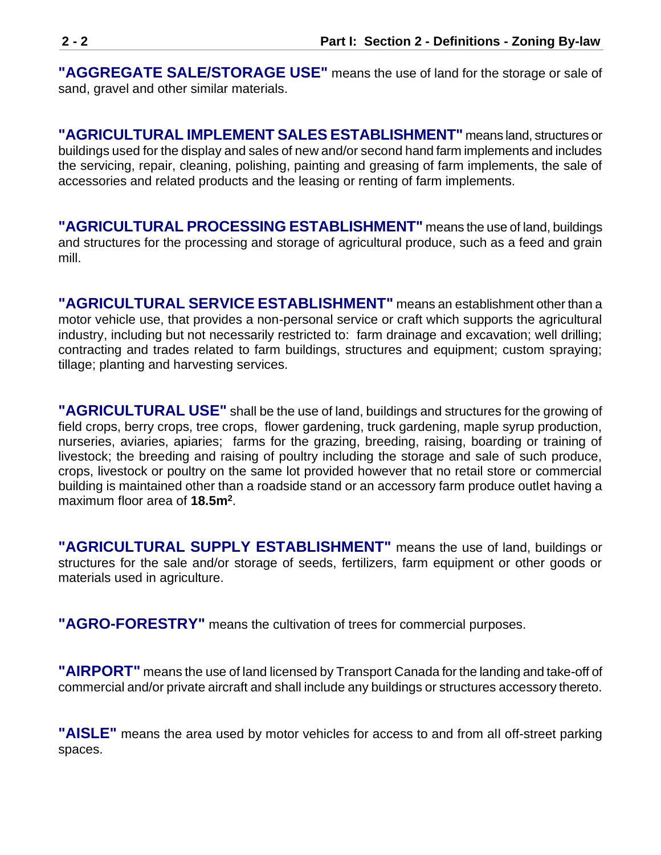**"AGGREGATE SALE/STORAGE USE"** means the use of land for the storage or sale of sand, gravel and other similar materials.

**"AGRICULTURAL IMPLEMENT SALES ESTABLISHMENT"** means land, structures or buildings used for the display and sales of new and/or second hand farm implements and includes the servicing, repair, cleaning, polishing, painting and greasing of farm implements, the sale of accessories and related products and the leasing or renting of farm implements.

**"AGRICULTURAL PROCESSING ESTABLISHMENT"** means the use of land, buildings and structures for the processing and storage of agricultural produce, such as a feed and grain mill.

**"AGRICULTURAL SERVICE ESTABLISHMENT"** means an establishment other than a motor vehicle use, that provides a non-personal service or craft which supports the agricultural industry, including but not necessarily restricted to: farm drainage and excavation; well drilling; contracting and trades related to farm buildings, structures and equipment; custom spraying; tillage; planting and harvesting services.

**"AGRICULTURAL USE"** shall be the use of land, buildings and structures for the growing of field crops, berry crops, tree crops, flower gardening, truck gardening, maple syrup production, nurseries, aviaries, apiaries; farms for the grazing, breeding, raising, boarding or training of livestock; the breeding and raising of poultry including the storage and sale of such produce, crops, livestock or poultry on the same lot provided however that no retail store or commercial building is maintained other than a roadside stand or an accessory farm produce outlet having a maximum floor area of **18.5m<sup>2</sup>** .

**"AGRICULTURAL SUPPLY ESTABLISHMENT"** means the use of land, buildings or structures for the sale and/or storage of seeds, fertilizers, farm equipment or other goods or materials used in agriculture.

**"AGRO-FORESTRY"** means the cultivation of trees for commercial purposes.

**"AIRPORT"** means the use of land licensed by Transport Canada for the landing and take-off of commercial and/or private aircraft and shall include any buildings or structures accessory thereto.

**"AISLE"** means the area used by motor vehicles for access to and from all off-street parking spaces.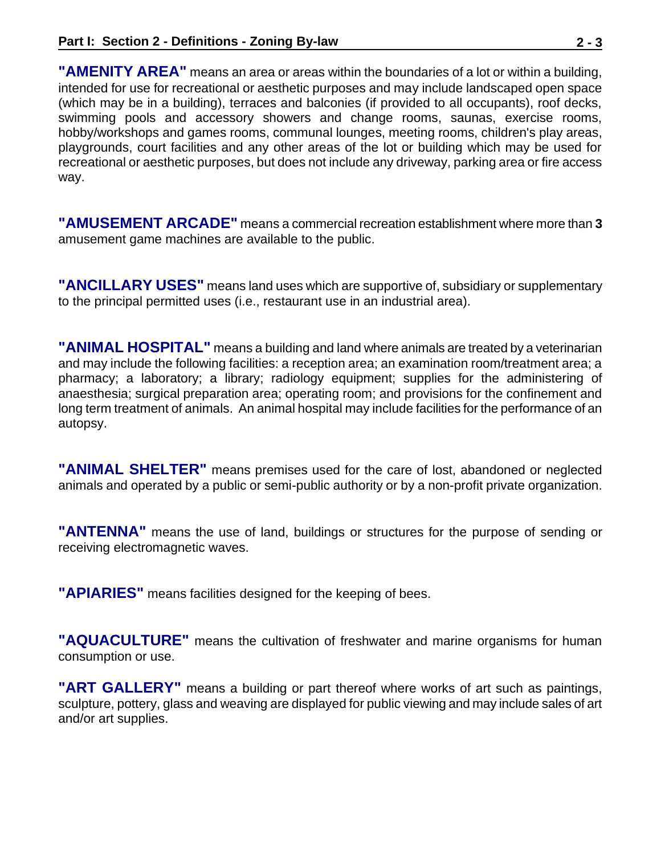**"AMENITY AREA"** means an area or areas within the boundaries of a lot or within a building, intended for use for recreational or aesthetic purposes and may include landscaped open space (which may be in a building), terraces and balconies (if provided to all occupants), roof decks, swimming pools and accessory showers and change rooms, saunas, exercise rooms, hobby/workshops and games rooms, communal lounges, meeting rooms, children's play areas, playgrounds, court facilities and any other areas of the lot or building which may be used for recreational or aesthetic purposes, but does not include any driveway, parking area or fire access way.

**"AMUSEMENT ARCADE"** means a commercial recreation establishment where more than **3** amusement game machines are available to the public.

**"ANCILLARY USES"** means land uses which are supportive of, subsidiary or supplementary to the principal permitted uses (i.e., restaurant use in an industrial area).

**"ANIMAL HOSPITAL"** means a building and land where animals are treated by a veterinarian and may include the following facilities: a reception area; an examination room/treatment area; a pharmacy; a laboratory; a library; radiology equipment; supplies for the administering of anaesthesia; surgical preparation area; operating room; and provisions for the confinement and long term treatment of animals. An animal hospital may include facilities for the performance of an autopsy.

**"ANIMAL SHELTER"** means premises used for the care of lost, abandoned or neglected animals and operated by a public or semi-public authority or by a non-profit private organization.

**"ANTENNA"** means the use of land, buildings or structures for the purpose of sending or receiving electromagnetic waves.

**"APIARIES"** means facilities designed for the keeping of bees.

**"AQUACULTURE"** means the cultivation of freshwater and marine organisms for human consumption or use.

**"ART GALLERY"** means a building or part thereof where works of art such as paintings, sculpture, pottery, glass and weaving are displayed for public viewing and may include sales of art and/or art supplies.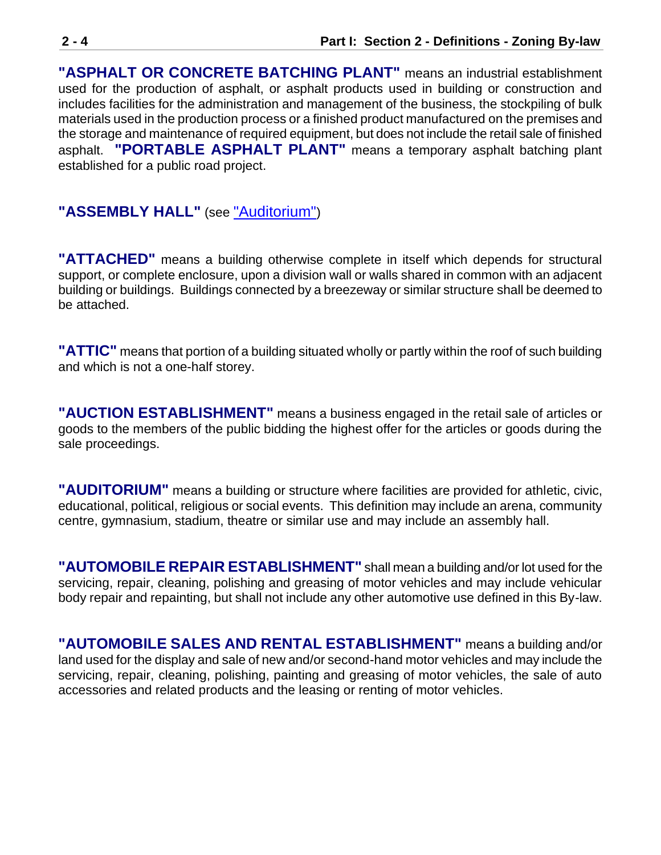**"ASPHALT OR CONCRETE BATCHING PLANT"** means an industrial establishment used for the production of asphalt, or asphalt products used in building or construction and includes facilities for the administration and management of the business, the stockpiling of bulk materials used in the production process or a finished product manufactured on the premises and the storage and maintenance of required equipment, but does not include the retail sale of finished asphalt. **"PORTABLE ASPHALT PLANT"** means a temporary asphalt batching plant established for a public road project.

#### **"ASSEMBLY HALL"** (see ["Auditorium"](#page-3-0))

**"ATTACHED"** means a building otherwise complete in itself which depends for structural support, or complete enclosure, upon a division wall or walls shared in common with an adjacent building or buildings. Buildings connected by a breezeway or similar structure shall be deemed to be attached.

**"ATTIC"** means that portion of a building situated wholly or partly within the roof of such building and which is not a one-half storey.

**"AUCTION ESTABLISHMENT"** means a business engaged in the retail sale of articles or goods to the members of the public bidding the highest offer for the articles or goods during the sale proceedings.

<span id="page-3-0"></span>**"AUDITORIUM"** means a building or structure where facilities are provided for athletic, civic, educational, political, religious or social events. This definition may include an arena, community centre, gymnasium, stadium, theatre or similar use and may include an assembly hall.

**"AUTOMOBILE REPAIR ESTABLISHMENT"** shall mean a building and/or lot used for the servicing, repair, cleaning, polishing and greasing of motor vehicles and may include vehicular body repair and repainting, but shall not include any other automotive use defined in this By-law.

**"AUTOMOBILE SALES AND RENTAL ESTABLISHMENT"** means a building and/or land used for the display and sale of new and/or second-hand motor vehicles and may include the servicing, repair, cleaning, polishing, painting and greasing of motor vehicles, the sale of auto accessories and related products and the leasing or renting of motor vehicles.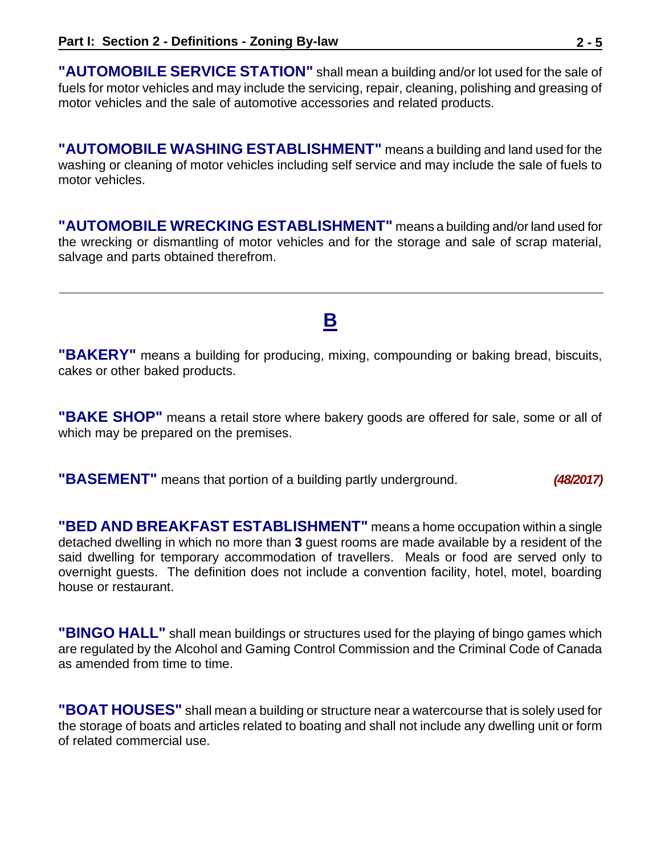**"AUTOMOBILE SERVICE STATION"** shall mean a building and/or lot used for the sale of fuels for motor vehicles and may include the servicing, repair, cleaning, polishing and greasing of motor vehicles and the sale of automotive accessories and related products.

**"AUTOMOBILE WASHING ESTABLISHMENT"** means a building and land used for the washing or cleaning of motor vehicles including self service and may include the sale of fuels to motor vehicles.

**"AUTOMOBILE WRECKING ESTABLISHMENT"** means a building and/or land used for the wrecking or dismantling of motor vehicles and for the storage and sale of scrap material, salvage and parts obtained therefrom.

### **B**

<span id="page-4-0"></span>**"BAKERY"** means a building for producing, mixing, compounding or baking bread, biscuits, cakes or other baked products.

**"BAKE SHOP"** means a retail store where bakery goods are offered for sale, some or all of which may be prepared on the premises.

**"BASEMENT"** means that portion of a building partly underground. *(48/2017)*

**"BED AND BREAKFAST ESTABLISHMENT"** means a home occupation within a single detached dwelling in which no more than **3** guest rooms are made available by a resident of the said dwelling for temporary accommodation of travellers. Meals or food are served only to overnight guests. The definition does not include a convention facility, hotel, motel, boarding house or restaurant.

**"BINGO HALL"** shall mean buildings or structures used for the playing of bingo games which are regulated by the Alcohol and Gaming Control Commission and the Criminal Code of Canada as amended from time to time.

**"BOAT HOUSES"** shall mean a building or structure near a watercourse that is solely used for the storage of boats and articles related to boating and shall not include any dwelling unit or form of related commercial use.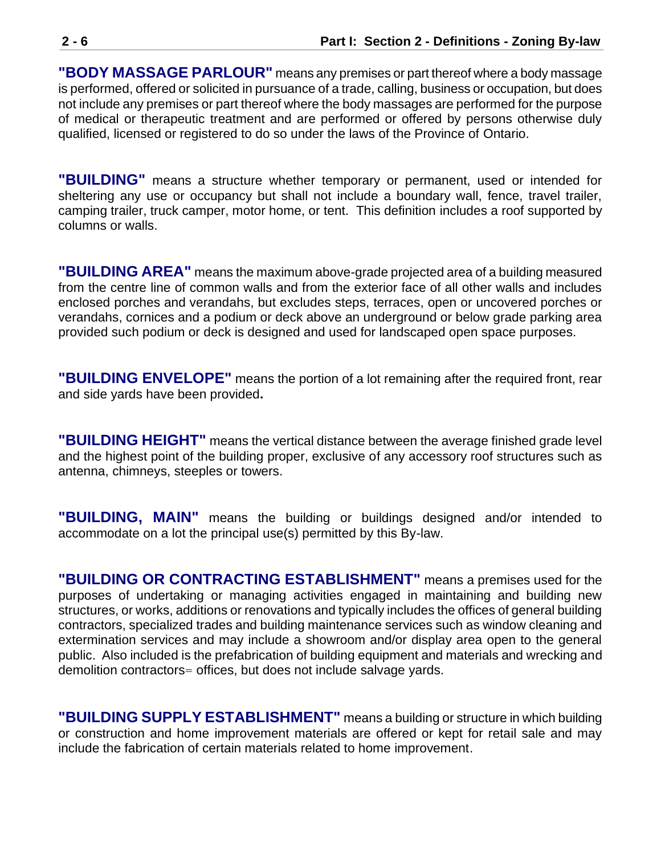**"BODY MASSAGE PARLOUR"** means any premises or part thereof where a body massage is performed, offered or solicited in pursuance of a trade, calling, business or occupation, but does not include any premises or part thereof where the body massages are performed for the purpose of medical or therapeutic treatment and are performed or offered by persons otherwise duly qualified, licensed or registered to do so under the laws of the Province of Ontario.

**"BUILDING"** means a structure whether temporary or permanent, used or intended for sheltering any use or occupancy but shall not include a boundary wall, fence, travel trailer, camping trailer, truck camper, motor home, or tent. This definition includes a roof supported by columns or walls.

**"BUILDING AREA"** means the maximum above-grade projected area of a building measured from the centre line of common walls and from the exterior face of all other walls and includes enclosed porches and verandahs, but excludes steps, terraces, open or uncovered porches or verandahs, cornices and a podium or deck above an underground or below grade parking area provided such podium or deck is designed and used for landscaped open space purposes.

**"BUILDING ENVELOPE"** means the portion of a lot remaining after the required front, rear and side yards have been provided**.**

**"BUILDING HEIGHT"** means the vertical distance between the average finished grade level and the highest point of the building proper, exclusive of any accessory roof structures such as antenna, chimneys, steeples or towers.

**"BUILDING, MAIN"** means the building or buildings designed and/or intended to accommodate on a lot the principal use(s) permitted by this By-law.

**"BUILDING OR CONTRACTING ESTABLISHMENT"** means a premises used for the purposes of undertaking or managing activities engaged in maintaining and building new structures, or works, additions or renovations and typically includes the offices of general building contractors, specialized trades and building maintenance services such as window cleaning and extermination services and may include a showroom and/or display area open to the general public. Also included is the prefabrication of building equipment and materials and wrecking and demolition contractors= offices, but does not include salvage yards.

**"BUILDING SUPPLY ESTABLISHMENT"** means a building or structure in which building or construction and home improvement materials are offered or kept for retail sale and may include the fabrication of certain materials related to home improvement.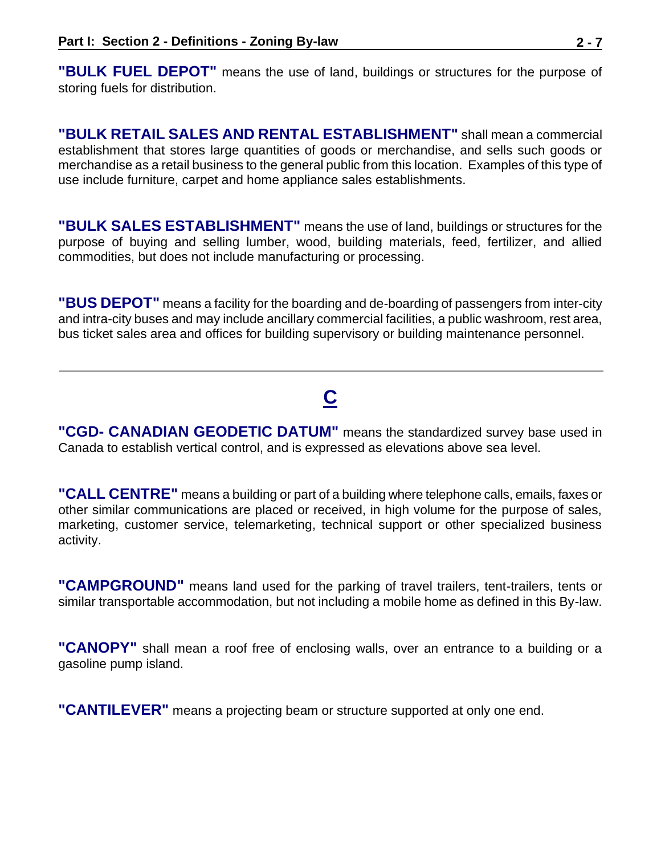**"BULK FUEL DEPOT"** means the use of land, buildings or structures for the purpose of storing fuels for distribution.

**"BULK RETAIL SALES AND RENTAL ESTABLISHMENT"** shall mean a commercial establishment that stores large quantities of goods or merchandise, and sells such goods or merchandise as a retail business to the general public from this location. Examples of this type of use include furniture, carpet and home appliance sales establishments.

<span id="page-6-1"></span>**"BULK SALES ESTABLISHMENT"** means the use of land, buildings or structures for the purpose of buying and selling lumber, wood, building materials, feed, fertilizer, and allied commodities, but does not include manufacturing or processing.

**"BUS DEPOT"** means a facility for the boarding and de-boarding of passengers from inter-city and intra-city buses and may include ancillary commercial facilities, a public washroom, rest area, bus ticket sales area and offices for building supervisory or building maintenance personnel.

## **C**

<span id="page-6-0"></span>**"CGD- CANADIAN GEODETIC DATUM"** means the standardized survey base used in Canada to establish vertical control, and is expressed as elevations above sea level.

**"CALL CENTRE"** means a building or part of a building where telephone calls, emails, faxes or other similar communications are placed or received, in high volume for the purpose of sales, marketing, customer service, telemarketing, technical support or other specialized business activity.

**"CAMPGROUND"** means land used for the parking of travel trailers, tent-trailers, tents or similar transportable accommodation, but not including a mobile home as defined in this By-law.

**"CANOPY"** shall mean a roof free of enclosing walls, over an entrance to a building or a gasoline pump island.

**"CANTILEVER"** means a projecting beam or structure supported at only one end.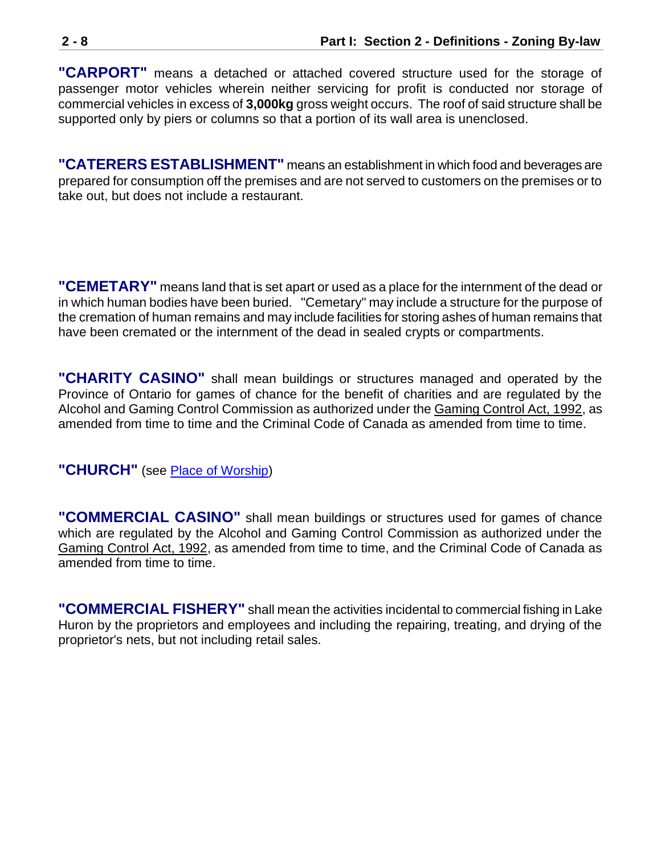**"CARPORT"** means a detached or attached covered structure used for the storage of passenger motor vehicles wherein neither servicing for profit is conducted nor storage of commercial vehicles in excess of **3,000kg** gross weight occurs. The roof of said structure shall be supported only by piers or columns so that a portion of its wall area is unenclosed.

**"CATERERS ESTABLISHMENT"** means an establishment in which food and beverages are prepared for consumption off the premises and are not served to customers on the premises or to take out, but does not include a restaurant.

**"CEMETARY"** means land that is set apart or used as a place for the internment of the dead or in which human bodies have been buried. "Cemetary" may include a structure for the purpose of the cremation of human remains and may include facilities for storing ashes of human remains that have been cremated or the internment of the dead in sealed crypts or compartments.

**"CHARITY CASINO"** shall mean buildings or structures managed and operated by the Province of Ontario for games of chance for the benefit of charities and are regulated by the Alcohol and Gaming Control Commission as authorized under the Gaming Control Act, 1992, as amended from time to time and the Criminal Code of Canada as amended from time to time.

**"CHURCH"** (see [Place of Worship\)](#page-28-0)

**"COMMERCIAL CASINO"** shall mean buildings or structures used for games of chance which are regulated by the Alcohol and Gaming Control Commission as authorized under the Gaming Control Act, 1992, as amended from time to time, and the Criminal Code of Canada as amended from time to time.

**"COMMERCIAL FISHERY"** shall mean the activities incidental to commercial fishing in Lake Huron by the proprietors and employees and including the repairing, treating, and drying of the proprietor's nets, but not including retail sales.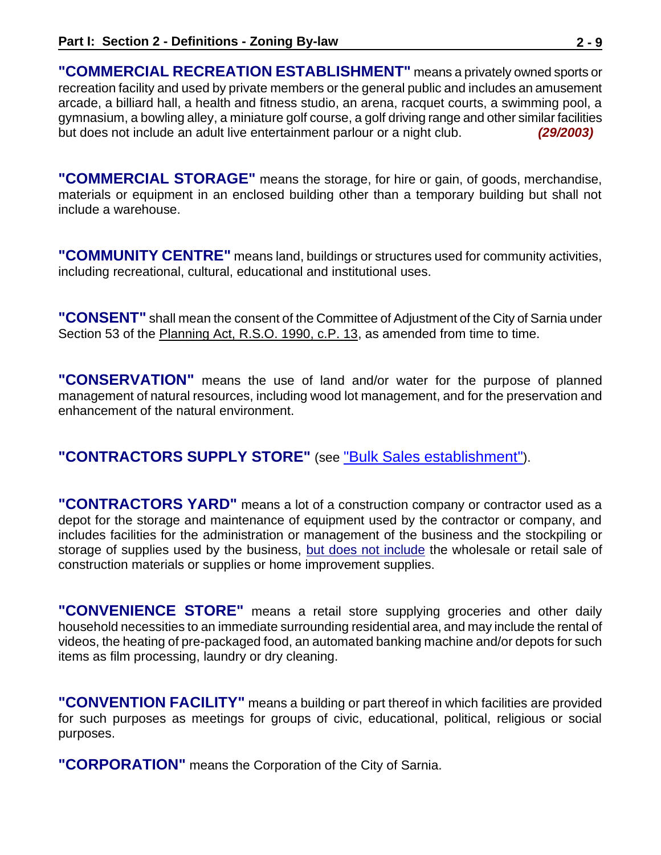**"COMMERCIAL RECREATION ESTABLISHMENT"** means a privately owned sports or recreation facility and used by private members or the general public and includes an amusement arcade, a billiard hall, a health and fitness studio, an arena, racquet courts, a swimming pool, a gymnasium, a bowling alley, a miniature golf course, a golf driving range and other similar facilities but does not include an adult live entertainment parlour or a night club. *(29/2003)*

**"COMMERCIAL STORAGE"** means the storage, for hire or gain, of goods, merchandise, materials or equipment in an enclosed building other than a temporary building but shall not include a warehouse.

**"COMMUNITY CENTRE"** means land, buildings or structures used for community activities, including recreational, cultural, educational and institutional uses.

**"CONSENT"** shall mean the consent of the Committee of Adjustment of the City of Sarnia under Section 53 of the Planning Act, R.S.O. 1990, c.P. 13, as amended from time to time.

**"CONSERVATION"** means the use of land and/or water for the purpose of planned management of natural resources, including wood lot management, and for the preservation and enhancement of the natural environment.

**"CONTRACTORS SUPPLY STORE"** (see ["Bulk Sales establishment"](#page-6-1)).

**"CONTRACTORS YARD"** means a lot of a construction company or contractor used as a depot for the storage and maintenance of equipment used by the contractor or company, and includes facilities for the administration or management of the business and the stockpiling or storage of supplies used by the business, but does not include the wholesale or retail sale of construction materials or supplies or home improvement supplies.

**"CONVENIENCE STORE"** means a retail store supplying groceries and other daily household necessities to an immediate surrounding residential area, and may include the rental of videos, the heating of pre-packaged food, an automated banking machine and/or depots for such items as film processing, laundry or dry cleaning.

**"CONVENTION FACILITY"** means a building or part thereof in which facilities are provided for such purposes as meetings for groups of civic, educational, political, religious or social purposes.

**"CORPORATION"** means the Corporation of the City of Sarnia.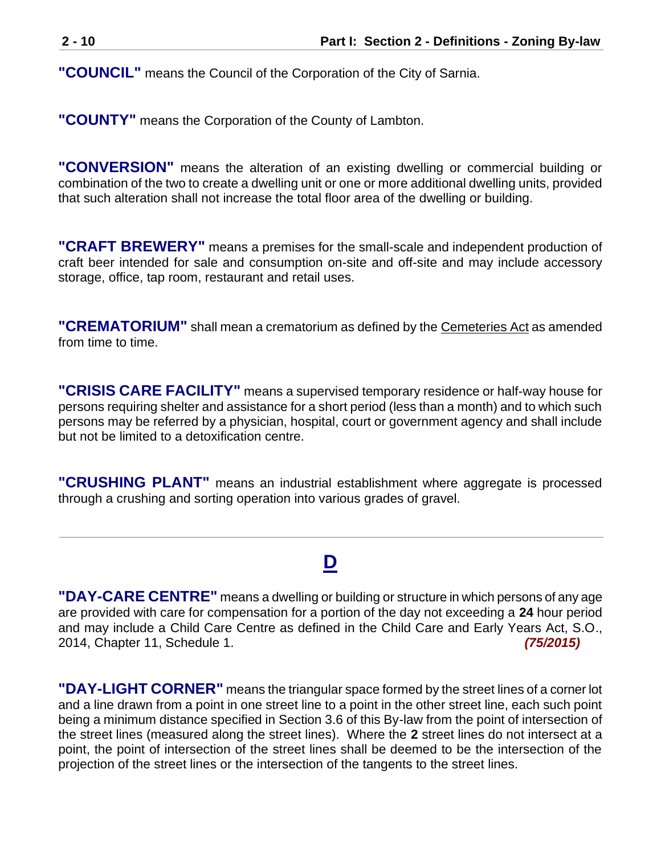**"COUNCIL"** means the Council of the Corporation of the City of Sarnia.

**"COUNTY"** means the Corporation of the County of Lambton.

**"CONVERSION"** means the alteration of an existing dwelling or commercial building or combination of the two to create a dwelling unit or one or more additional dwelling units, provided that such alteration shall not increase the total floor area of the dwelling or building.

**"CRAFT BREWERY"** means a premises for the small-scale and independent production of craft beer intended for sale and consumption on-site and off-site and may include accessory storage, office, tap room, restaurant and retail uses.

**"CREMATORIUM"** shall mean a crematorium as defined by the Cemeteries Act as amended from time to time.

**"CRISIS CARE FACILITY"** means a supervised temporary residence or half-way house for persons requiring shelter and assistance for a short period (less than a month) and to which such persons may be referred by a physician, hospital, court or government agency and shall include but not be limited to a detoxification centre.

**"CRUSHING PLANT"** means an industrial establishment where aggregate is processed through a crushing and sorting operation into various grades of gravel.

#### **D**

<span id="page-9-0"></span>**"DAY-CARE CENTRE"** means a dwelling or building or structure in which persons of any age are provided with care for compensation for a portion of the day not exceeding a **24** hour period and may include a Child Care Centre as defined in the Child Care and Early Years Act, S.O., 2014, Chapter 11, Schedule 1. *(75/2015)*

**"DAY-LIGHT CORNER"** means the triangular space formed by the street lines of a corner lot and a line drawn from a point in one street line to a point in the other street line, each such point being a minimum distance specified in Section 3.6 of this By-law from the point of intersection of the street lines (measured along the street lines). Where the **2** street lines do not intersect at a point, the point of intersection of the street lines shall be deemed to be the intersection of the projection of the street lines or the intersection of the tangents to the street lines.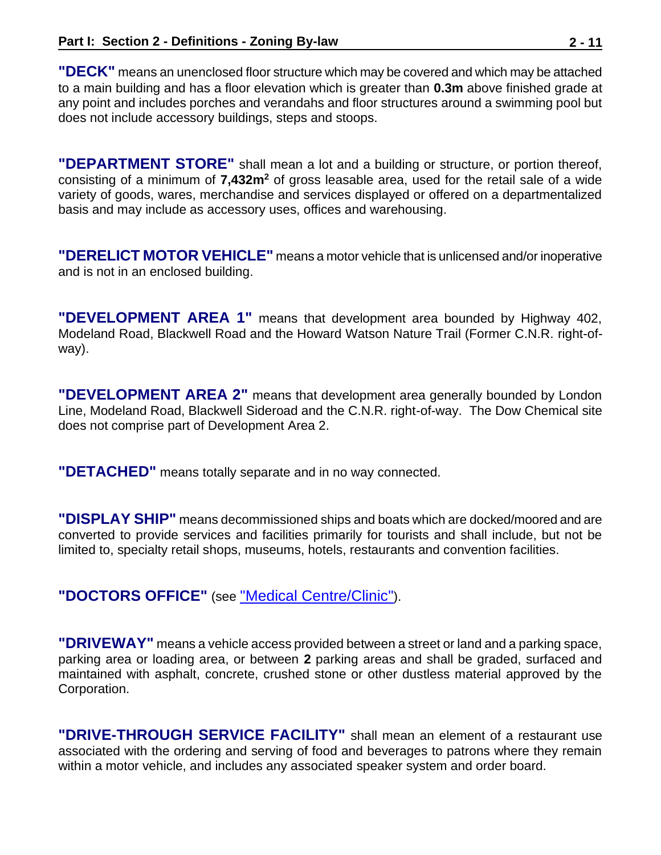**"DECK"** means an unenclosed floor structure which may be covered and which may be attached to a main building and has a floor elevation which is greater than **0.3m** above finished grade at any point and includes porches and verandahs and floor structures around a swimming pool but does not include accessory buildings, steps and stoops.

**"DEPARTMENT STORE"** shall mean a lot and a building or structure, or portion thereof, consisting of a minimum of **7,432m<sup>2</sup>** of gross leasable area, used for the retail sale of a wide variety of goods, wares, merchandise and services displayed or offered on a departmentalized basis and may include as accessory uses, offices and warehousing.

**"DERELICT MOTOR VEHICLE"** means a motor vehicle that is unlicensed and/or inoperative and is not in an enclosed building.

**"DEVELOPMENT AREA 1"** means that development area bounded by Highway 402, Modeland Road, Blackwell Road and the Howard Watson Nature Trail (Former C.N.R. right-ofway).

**"DEVELOPMENT AREA 2"** means that development area generally bounded by London Line, Modeland Road, Blackwell Sideroad and the C.N.R. right-of-way. The Dow Chemical site does not comprise part of Development Area 2.

**"DETACHED"** means totally separate and in no way connected.

**"DISPLAY SHIP"** means decommissioned ships and boats which are docked/moored and are converted to provide services and facilities primarily for tourists and shall include, but not be limited to, specialty retail shops, museums, hotels, restaurants and convention facilities.

**"DOCTORS OFFICE"** (see ["Medical Centre/Clinic"](#page-23-1)).

**"DRIVEWAY"** means a vehicle access provided between a street or land and a parking space, parking area or loading area, or between **2** parking areas and shall be graded, surfaced and maintained with asphalt, concrete, crushed stone or other dustless material approved by the Corporation.

**"DRIVE-THROUGH SERVICE FACILITY"** shall mean an element of a restaurant use associated with the ordering and serving of food and beverages to patrons where they remain within a motor vehicle, and includes any associated speaker system and order board.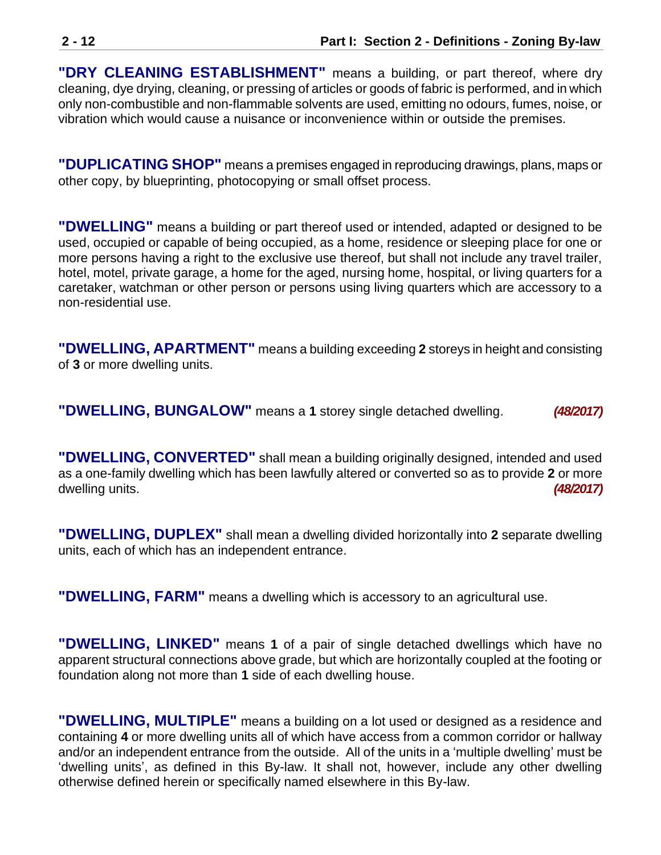"DRY CLEANING ESTABLISHMENT" means a building, or part thereof, where dry cleaning, dye drying, cleaning, or pressing of articles or goods of fabric is performed, and in which only non-combustible and non-flammable solvents are used, emitting no odours, fumes, noise, or vibration which would cause a nuisance or inconvenience within or outside the premises.

**"DUPLICATING SHOP"** means a premises engaged in reproducing drawings, plans, maps or other copy, by blueprinting, photocopying or small offset process.

**"DWELLING"** means a building or part thereof used or intended, adapted or designed to be used, occupied or capable of being occupied, as a home, residence or sleeping place for one or more persons having a right to the exclusive use thereof, but shall not include any travel trailer, hotel, motel, private garage, a home for the aged, nursing home, hospital, or living quarters for a caretaker, watchman or other person or persons using living quarters which are accessory to a non-residential use.

**"DWELLING, APARTMENT"** means a building exceeding **2** storeys in height and consisting of **3** or more dwelling units.

**"DWELLING, BUNGALOW"** means a **1** storey single detached dwelling. *(48/2017)*

**"DWELLING, CONVERTED"** shall mean a building originally designed, intended and used as a one-family dwelling which has been lawfully altered or converted so as to provide **2** or more dwelling units. *(48/2017)*

**"DWELLING, DUPLEX"** shall mean a dwelling divided horizontally into **2** separate dwelling units, each of which has an independent entrance.

**"DWELLING, FARM"** means a dwelling which is accessory to an agricultural use.

**"DWELLING, LINKED"** means **1** of a pair of single detached dwellings which have no apparent structural connections above grade, but which are horizontally coupled at the footing or foundation along not more than **1** side of each dwelling house.

**"DWELLING, MULTIPLE"** means a building on a lot used or designed as a residence and containing **4** or more dwelling units all of which have access from a common corridor or hallway and/or an independent entrance from the outside. All of the units in a 'multiple dwelling' must be 'dwelling units', as defined in this By-law. It shall not, however, include any other dwelling otherwise defined herein or specifically named elsewhere in this By-law.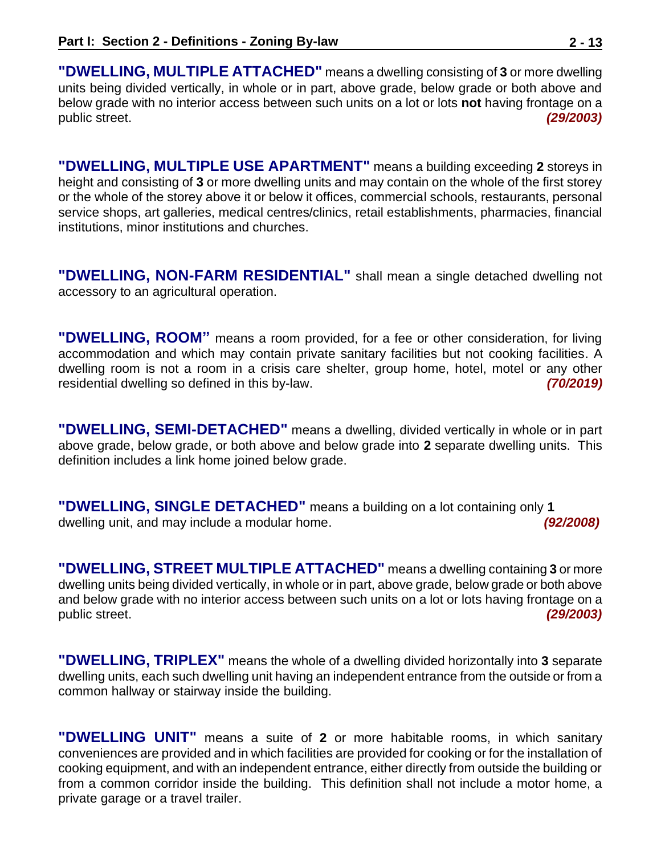**"DWELLING, MULTIPLE ATTACHED"** means a dwelling consisting of **3** or more dwelling units being divided vertically, in whole or in part, above grade, below grade or both above and below grade with no interior access between such units on a lot or lots **not** having frontage on a public street. *(29/2003)*

**"DWELLING, MULTIPLE USE APARTMENT"** means a building exceeding **2** storeys in height and consisting of **3** or more dwelling units and may contain on the whole of the first storey or the whole of the storey above it or below it offices, commercial schools, restaurants, personal service shops, art galleries, medical centres/clinics, retail establishments, pharmacies, financial institutions, minor institutions and churches.

**"DWELLING, NON-FARM RESIDENTIAL"** shall mean a single detached dwelling not accessory to an agricultural operation.

**"DWELLING, ROOM"** means a room provided, for a fee or other consideration, for living accommodation and which may contain private sanitary facilities but not cooking facilities. A dwelling room is not a room in a crisis care shelter, group home, hotel, motel or any other residential dwelling so defined in this by-law. *(70/2019)*

**"DWELLING, SEMI-DETACHED"** means a dwelling, divided vertically in whole or in part above grade, below grade, or both above and below grade into **2** separate dwelling units. This definition includes a link home joined below grade.

**"DWELLING, SINGLE DETACHED"** means a building on a lot containing only **1** dwelling unit, and may include a modular home. *(92/2008)*

**"DWELLING, STREET MULTIPLE ATTACHED"** means a dwelling containing **3** or more dwelling units being divided vertically, in whole or in part, above grade, below grade or both above and below grade with no interior access between such units on a lot or lots having frontage on a public street. *(29/2003)*

**"DWELLING, TRIPLEX"** means the whole of a dwelling divided horizontally into **3** separate dwelling units, each such dwelling unit having an independent entrance from the outside or from a common hallway or stairway inside the building.

**"DWELLING UNIT"** means a suite of **2** or more habitable rooms, in which sanitary conveniences are provided and in which facilities are provided for cooking or for the installation of cooking equipment, and with an independent entrance, either directly from outside the building or from a common corridor inside the building. This definition shall not include a motor home, a private garage or a travel trailer.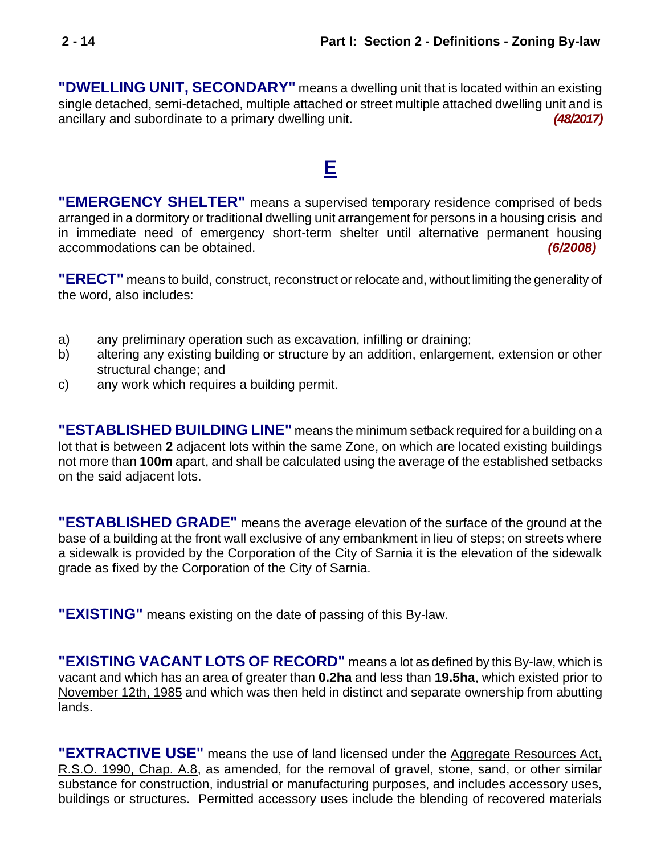**"DWELLING UNIT, SECONDARY"** means a dwelling unit that is located within an existing single detached, semi-detached, multiple attached or street multiple attached dwelling unit and is ancillary and subordinate to a primary dwelling unit. *(48/2017)*

#### **E**

<span id="page-13-0"></span>**"EMERGENCY SHELTER"** means a supervised temporary residence comprised of beds arranged in a dormitory or traditional dwelling unit arrangement for persons in a housing crisis and in immediate need of emergency short-term shelter until alternative permanent housing accommodations can be obtained. *(6/2008)*

**"ERECT"** means to build, construct, reconstruct or relocate and, without limiting the generality of the word, also includes:

- a) any preliminary operation such as excavation, infilling or draining;
- b) altering any existing building or structure by an addition, enlargement, extension or other structural change; and
- c) any work which requires a building permit.

**"ESTABLISHED BUILDING LINE"** means the minimum setback required for a building on a lot that is between **2** adjacent lots within the same Zone, on which are located existing buildings not more than **100m** apart, and shall be calculated using the average of the established setbacks on the said adjacent lots.

**"ESTABLISHED GRADE"** means the average elevation of the surface of the ground at the base of a building at the front wall exclusive of any embankment in lieu of steps; on streets where a sidewalk is provided by the Corporation of the City of Sarnia it is the elevation of the sidewalk grade as fixed by the Corporation of the City of Sarnia.

**"EXISTING"** means existing on the date of passing of this By-law.

**"EXISTING VACANT LOTS OF RECORD"** means a lot as defined by this By-law, which is vacant and which has an area of greater than **0.2ha** and less than **19.5ha**, which existed prior to November 12th, 1985 and which was then held in distinct and separate ownership from abutting lands.

**"EXTRACTIVE USE"** means the use of land licensed under the Aggregate Resources Act, R.S.O. 1990, Chap. A.8, as amended, for the removal of gravel, stone, sand, or other similar substance for construction, industrial or manufacturing purposes, and includes accessory uses, buildings or structures. Permitted accessory uses include the blending of recovered materials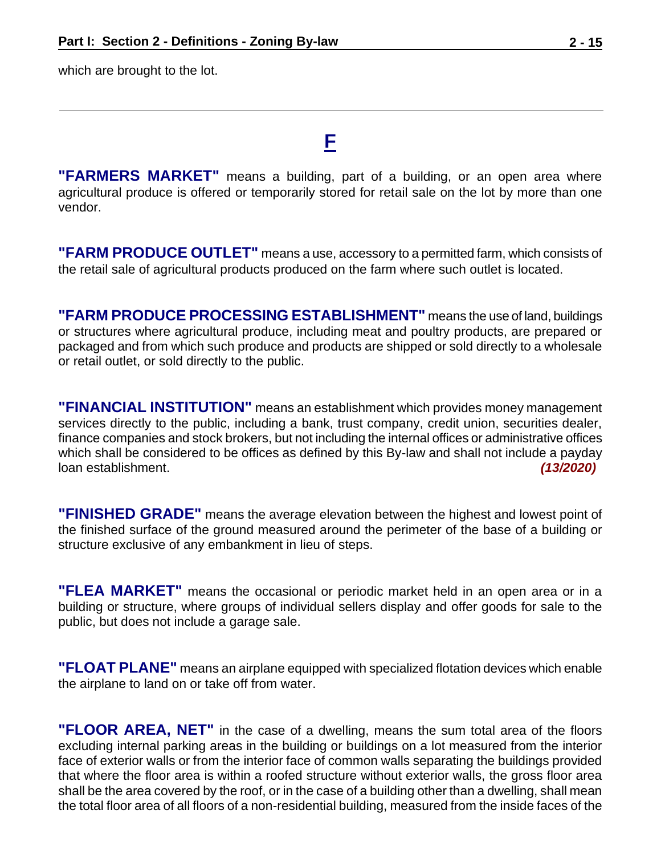<span id="page-14-0"></span>which are brought to the lot.

#### **F**

**"FARMERS MARKET"** means a building, part of a building, or an open area where agricultural produce is offered or temporarily stored for retail sale on the lot by more than one vendor.

**"FARM PRODUCE OUTLET"** means a use, accessory to a permitted farm, which consists of the retail sale of agricultural products produced on the farm where such outlet is located.

**"FARM PRODUCE PROCESSING ESTABLISHMENT"** means the use of land, buildings or structures where agricultural produce, including meat and poultry products, are prepared or packaged and from which such produce and products are shipped or sold directly to a wholesale or retail outlet, or sold directly to the public.

**"FINANCIAL INSTITUTION"** means an establishment which provides money management services directly to the public, including a bank, trust company, credit union, securities dealer, finance companies and stock brokers, but not including the internal offices or administrative offices which shall be considered to be offices as defined by this By-law and shall not include a payday loan establishment. *(13/2020)*

**"FINISHED GRADE"** means the average elevation between the highest and lowest point of the finished surface of the ground measured around the perimeter of the base of a building or structure exclusive of any embankment in lieu of steps.

**"FLEA MARKET"** means the occasional or periodic market held in an open area or in a building or structure, where groups of individual sellers display and offer goods for sale to the public, but does not include a garage sale.

**"FLOAT PLANE"** means an airplane equipped with specialized flotation devices which enable the airplane to land on or take off from water.

**"FLOOR AREA, NET"** in the case of a dwelling, means the sum total area of the floors excluding internal parking areas in the building or buildings on a lot measured from the interior face of exterior walls or from the interior face of common walls separating the buildings provided that where the floor area is within a roofed structure without exterior walls, the gross floor area shall be the area covered by the roof, or in the case of a building other than a dwelling, shall mean the total floor area of all floors of a non-residential building, measured from the inside faces of the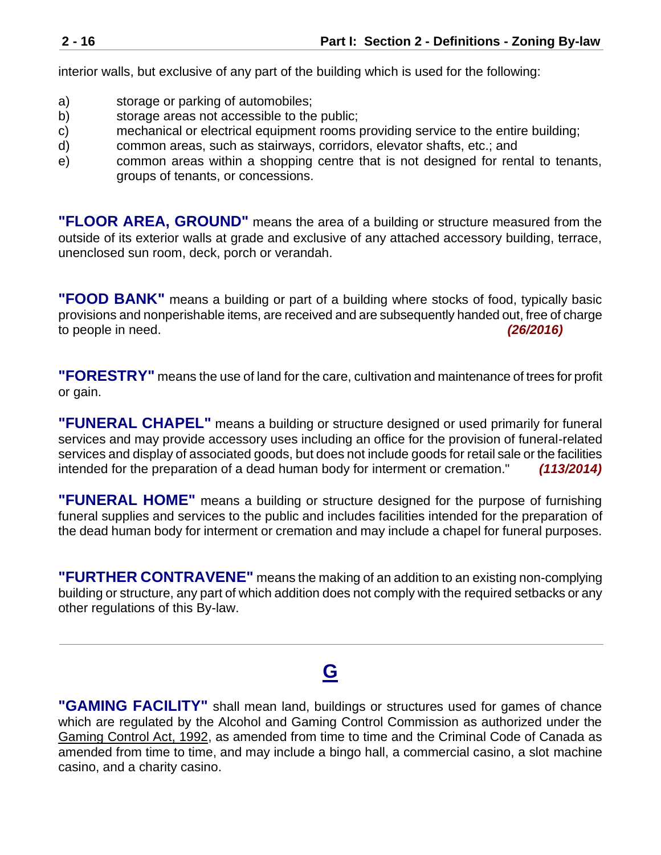interior walls, but exclusive of any part of the building which is used for the following:

- a) storage or parking of automobiles;
- b) storage areas not accessible to the public;
- c) mechanical or electrical equipment rooms providing service to the entire building;
- d) common areas, such as stairways, corridors, elevator shafts, etc.; and
- e) common areas within a shopping centre that is not designed for rental to tenants, groups of tenants, or concessions.

**"FLOOR AREA, GROUND"** means the area of a building or structure measured from the outside of its exterior walls at grade and exclusive of any attached accessory building, terrace, unenclosed sun room, deck, porch or verandah.

**"FOOD BANK"** means a building or part of a building where stocks of food, typically basic provisions and nonperishable items, are received and are subsequently handed out, free of charge to people in need. *(26/2016)*

**"FORESTRY"** means the use of land for the care, cultivation and maintenance of trees for profit or gain.

**"FUNERAL CHAPEL"** means a building or structure designed or used primarily for funeral services and may provide accessory uses including an office for the provision of funeral-related services and display of associated goods, but does not include goods for retail sale or the facilities intended for the preparation of a dead human body for interment or cremation." *(113/2014)*

**"FUNERAL HOME"** means a building or structure designed for the purpose of furnishing funeral supplies and services to the public and includes facilities intended for the preparation of the dead human body for interment or cremation and may include a chapel for funeral purposes.

**"FURTHER CONTRAVENE"** means the making of an addition to an existing non-complying building or structure, any part of which addition does not comply with the required setbacks or any other regulations of this By-law.

### **G**

<span id="page-15-0"></span>**"GAMING FACILITY"** shall mean land, buildings or structures used for games of chance which are regulated by the Alcohol and Gaming Control Commission as authorized under the Gaming Control Act, 1992, as amended from time to time and the Criminal Code of Canada as amended from time to time, and may include a bingo hall, a commercial casino, a slot machine casino, and a charity casino.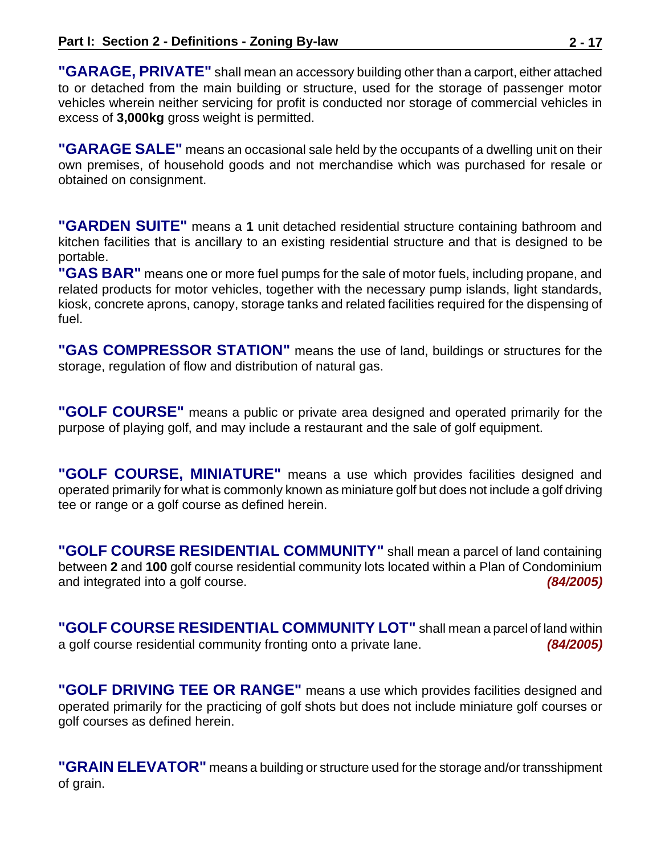**"GARAGE, PRIVATE"** shall mean an accessory building other than a carport, either attached to or detached from the main building or structure, used for the storage of passenger motor vehicles wherein neither servicing for profit is conducted nor storage of commercial vehicles in excess of **3,000kg** gross weight is permitted.

**"GARAGE SALE"** means an occasional sale held by the occupants of a dwelling unit on their own premises, of household goods and not merchandise which was purchased for resale or obtained on consignment.

**"GARDEN SUITE"** means a **1** unit detached residential structure containing bathroom and kitchen facilities that is ancillary to an existing residential structure and that is designed to be portable.

**"GAS BAR"** means one or more fuel pumps for the sale of motor fuels, including propane, and related products for motor vehicles, together with the necessary pump islands, light standards, kiosk, concrete aprons, canopy, storage tanks and related facilities required for the dispensing of fuel.

**"GAS COMPRESSOR STATION"** means the use of land, buildings or structures for the storage, regulation of flow and distribution of natural gas.

**"GOLF COURSE"** means a public or private area designed and operated primarily for the purpose of playing golf, and may include a restaurant and the sale of golf equipment.

**"GOLF COURSE, MINIATURE"** means a use which provides facilities designed and operated primarily for what is commonly known as miniature golf but does not include a golf driving tee or range or a golf course as defined herein.

**"GOLF COURSE RESIDENTIAL COMMUNITY"** shall mean a parcel of land containing between **2** and **100** golf course residential community lots located within a Plan of Condominium and integrated into a golf course. *(84/2005)*

**"GOLF COURSE RESIDENTIAL COMMUNITY LOT"** shall mean a parcel of land within a golf course residential community fronting onto a private lane. *(84/2005)*

**"GOLF DRIVING TEE OR RANGE"** means a use which provides facilities designed and operated primarily for the practicing of golf shots but does not include miniature golf courses or golf courses as defined herein.

**"GRAIN ELEVATOR"** means a building or structure used for the storage and/or transshipment of grain.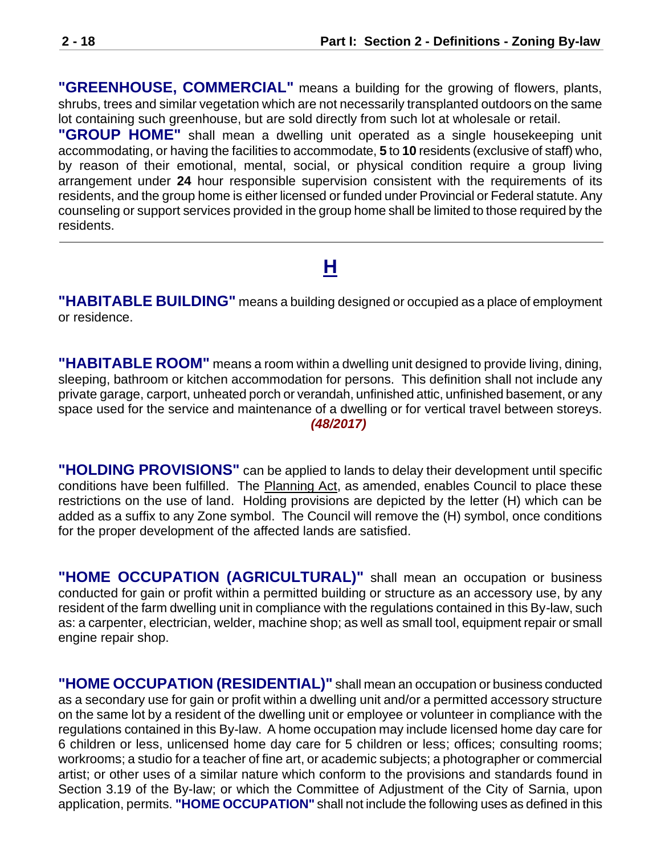**"GREENHOUSE, COMMERCIAL"** means a building for the growing of flowers, plants, shrubs, trees and similar vegetation which are not necessarily transplanted outdoors on the same lot containing such greenhouse, but are sold directly from such lot at wholesale or retail.

**"GROUP HOME"** shall mean a dwelling unit operated as a single housekeeping unit accommodating, or having the facilities to accommodate, **5** to **10** residents (exclusive of staff) who, by reason of their emotional, mental, social, or physical condition require a group living arrangement under **24** hour responsible supervision consistent with the requirements of its residents, and the group home is either licensed or funded under Provincial or Federal statute. Any counseling or support services provided in the group home shall be limited to those required by the residents.

### <span id="page-17-0"></span>**H**

**"HABITABLE BUILDING"** means a building designed or occupied as a place of employment or residence.

**"HABITABLE ROOM"** means a room within a dwelling unit designed to provide living, dining, sleeping, bathroom or kitchen accommodation for persons. This definition shall not include any private garage, carport, unheated porch or verandah, unfinished attic, unfinished basement, or any space used for the service and maintenance of a dwelling or for vertical travel between storeys. *(48/2017)*

**"HOLDING PROVISIONS"** can be applied to lands to delay their development until specific conditions have been fulfilled. The Planning Act, as amended, enables Council to place these restrictions on the use of land. Holding provisions are depicted by the letter (H) which can be added as a suffix to any Zone symbol. The Council will remove the (H) symbol, once conditions for the proper development of the affected lands are satisfied.

**"HOME OCCUPATION (AGRICULTURAL)"** shall mean an occupation or business conducted for gain or profit within a permitted building or structure as an accessory use, by any resident of the farm dwelling unit in compliance with the regulations contained in this By-law, such as: a carpenter, electrician, welder, machine shop; as well as small tool, equipment repair or small engine repair shop.

**"HOME OCCUPATION (RESIDENTIAL)"** shall mean an occupation or business conducted as a secondary use for gain or profit within a dwelling unit and/or a permitted accessory structure on the same lot by a resident of the dwelling unit or employee or volunteer in compliance with the regulations contained in this By-law. A home occupation may include licensed home day care for 6 children or less, unlicensed home day care for 5 children or less; offices; consulting rooms; workrooms; a studio for a teacher of fine art, or academic subjects; a photographer or commercial artist; or other uses of a similar nature which conform to the provisions and standards found in Section 3.19 of the By-law; or which the Committee of Adjustment of the City of Sarnia, upon application, permits. **"HOME OCCUPATION"** shall not include the following uses as defined in this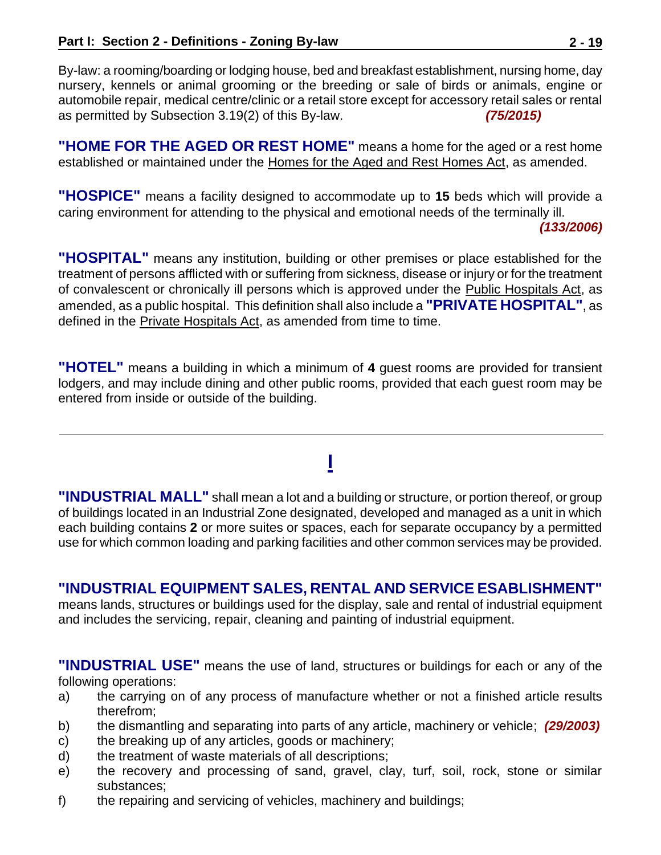By-law: a rooming/boarding or lodging house, bed and breakfast establishment, nursing home, day nursery, kennels or animal grooming or the breeding or sale of birds or animals, engine or automobile repair, medical centre/clinic or a retail store except for accessory retail sales or rental as permitted by Subsection 3.19(2) of this By-law. *(75/2015)*

**"HOME FOR THE AGED OR REST HOME"** means a home for the aged or a rest home established or maintained under the Homes for the Aged and Rest Homes Act, as amended.

**"HOSPICE"** means a facility designed to accommodate up to **15** beds which will provide a caring environment for attending to the physical and emotional needs of the terminally ill. *(133/2006)*

**"HOSPITAL"** means any institution, building or other premises or place established for the treatment of persons afflicted with or suffering from sickness, disease or injury or for the treatment of convalescent or chronically ill persons which is approved under the Public Hospitals Act, as amended, as a public hospital. This definition shall also include a **"PRIVATE HOSPITAL"**, as defined in the **Private Hospitals Act**, as amended from time to time.

**"HOTEL"** means a building in which a minimum of **4** guest rooms are provided for transient lodgers, and may include dining and other public rooms, provided that each guest room may be entered from inside or outside of the building.

# **I**

<span id="page-18-0"></span>**"INDUSTRIAL MALL"** shall mean a lot and a building or structure, or portion thereof, or group of buildings located in an Industrial Zone designated, developed and managed as a unit in which each building contains **2** or more suites or spaces, each for separate occupancy by a permitted use for which common loading and parking facilities and other common services may be provided.

#### **"INDUSTRIAL EQUIPMENT SALES, RENTAL AND SERVICE ESABLISHMENT"**

means lands, structures or buildings used for the display, sale and rental of industrial equipment and includes the servicing, repair, cleaning and painting of industrial equipment.

**"INDUSTRIAL USE"** means the use of land, structures or buildings for each or any of the following operations:

- a) the carrying on of any process of manufacture whether or not a finished article results therefrom;
- b) the dismantling and separating into parts of any article, machinery or vehicle; *(29/2003)*
- c) the breaking up of any articles, goods or machinery;
- d) the treatment of waste materials of all descriptions;
- e) the recovery and processing of sand, gravel, clay, turf, soil, rock, stone or similar substances;
- f) the repairing and servicing of vehicles, machinery and buildings;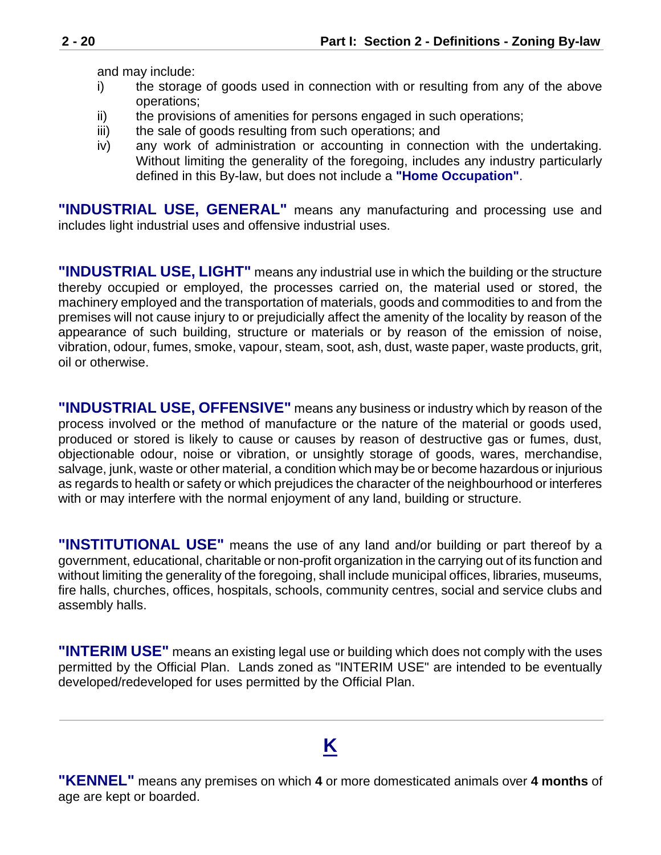and may include:

- i) the storage of goods used in connection with or resulting from any of the above operations;
- ii) the provisions of amenities for persons engaged in such operations;
- iii) the sale of goods resulting from such operations; and
- iv) any work of administration or accounting in connection with the undertaking. Without limiting the generality of the foregoing, includes any industry particularly defined in this By-law, but does not include a **"Home Occupation"**.

**"INDUSTRIAL USE, GENERAL"** means any manufacturing and processing use and includes light industrial uses and offensive industrial uses.

**"INDUSTRIAL USE, LIGHT"** means any industrial use in which the building or the structure thereby occupied or employed, the processes carried on, the material used or stored, the machinery employed and the transportation of materials, goods and commodities to and from the premises will not cause injury to or prejudicially affect the amenity of the locality by reason of the appearance of such building, structure or materials or by reason of the emission of noise, vibration, odour, fumes, smoke, vapour, steam, soot, ash, dust, waste paper, waste products, grit, oil or otherwise.

**"INDUSTRIAL USE, OFFENSIVE"** means any business or industry which by reason of the process involved or the method of manufacture or the nature of the material or goods used, produced or stored is likely to cause or causes by reason of destructive gas or fumes, dust, objectionable odour, noise or vibration, or unsightly storage of goods, wares, merchandise, salvage, junk, waste or other material, a condition which may be or become hazardous or injurious as regards to health or safety or which prejudices the character of the neighbourhood or interferes with or may interfere with the normal enjoyment of any land, building or structure.

**"INSTITUTIONAL USE"** means the use of any land and/or building or part thereof by a government, educational, charitable or non-profit organization in the carrying out of its function and without limiting the generality of the foregoing, shall include municipal offices, libraries, museums, fire halls, churches, offices, hospitals, schools, community centres, social and service clubs and assembly halls.

**"INTERIM USE"** means an existing legal use or building which does not comply with the uses permitted by the Official Plan. Lands zoned as "INTERIM USE" are intended to be eventually developed/redeveloped for uses permitted by the Official Plan.

### **K**

<span id="page-19-0"></span>**"KENNEL"** means any premises on which **4** or more domesticated animals over **4 months** of age are kept or boarded.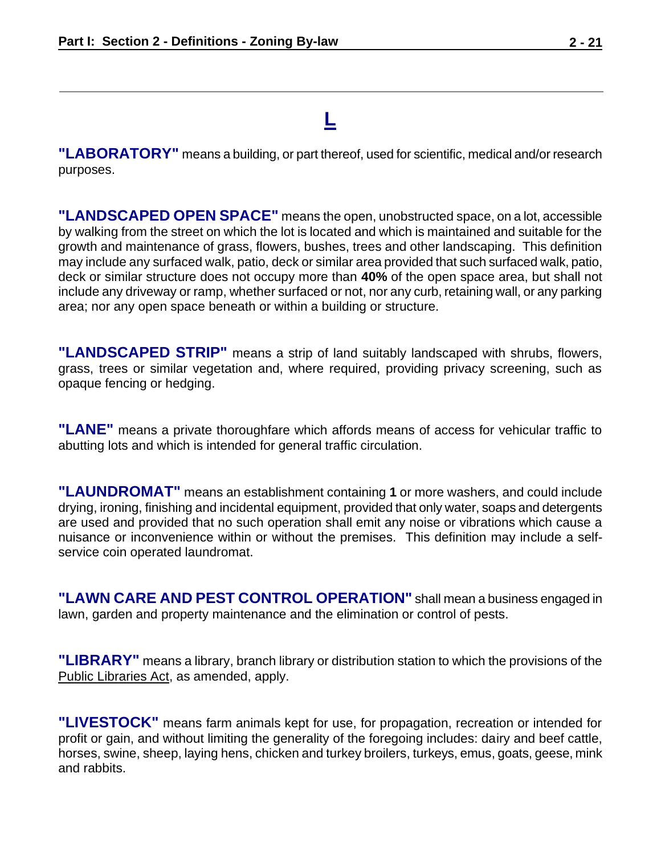### **L**

<span id="page-20-0"></span>**"LABORATORY"** means a building, or part thereof, used for scientific, medical and/or research purposes.

**"LANDSCAPED OPEN SPACE"** means the open, unobstructed space, on a lot, accessible by walking from the street on which the lot is located and which is maintained and suitable for the growth and maintenance of grass, flowers, bushes, trees and other landscaping. This definition may include any surfaced walk, patio, deck or similar area provided that such surfaced walk, patio, deck or similar structure does not occupy more than **40%** of the open space area, but shall not include any driveway or ramp, whether surfaced or not, nor any curb, retaining wall, or any parking area; nor any open space beneath or within a building or structure.

<span id="page-20-1"></span>**"LANDSCAPED STRIP"** means a strip of land suitably landscaped with shrubs, flowers, grass, trees or similar vegetation and, where required, providing privacy screening, such as opaque fencing or hedging.

**"LANE"** means a private thoroughfare which affords means of access for vehicular traffic to abutting lots and which is intended for general traffic circulation.

**"LAUNDROMAT"** means an establishment containing **1** or more washers, and could include drying, ironing, finishing and incidental equipment, provided that only water, soaps and detergents are used and provided that no such operation shall emit any noise or vibrations which cause a nuisance or inconvenience within or without the premises. This definition may include a selfservice coin operated laundromat.

**"LAWN CARE AND PEST CONTROL OPERATION"** shall mean a business engaged in lawn, garden and property maintenance and the elimination or control of pests.

**"LIBRARY"** means a library, branch library or distribution station to which the provisions of the Public Libraries Act, as amended, apply.

**"LIVESTOCK"** means farm animals kept for use, for propagation, recreation or intended for profit or gain, and without limiting the generality of the foregoing includes: dairy and beef cattle, horses, swine, sheep, laying hens, chicken and turkey broilers, turkeys, emus, goats, geese, mink and rabbits.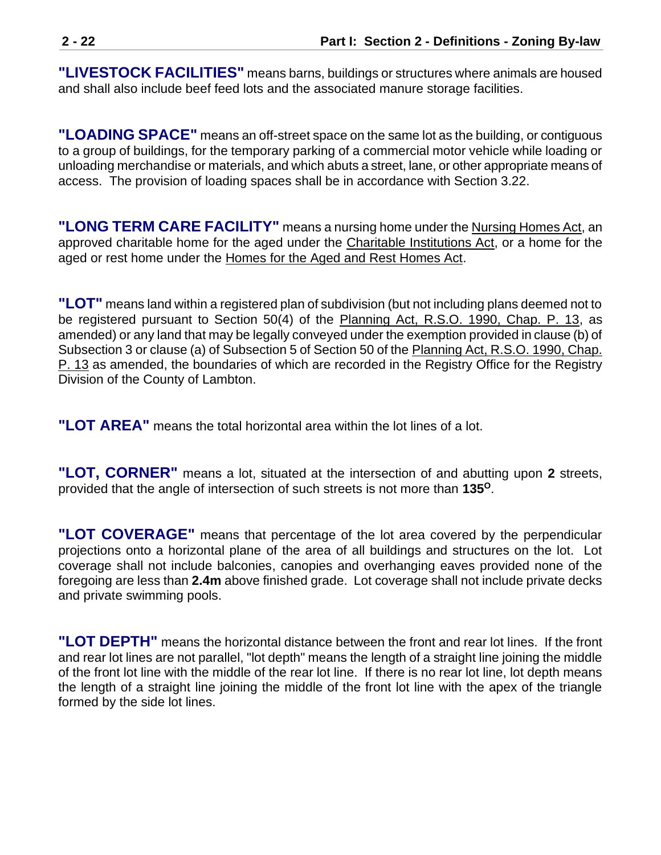**"LIVESTOCK FACILITIES"** means barns, buildings or structures where animals are housed and shall also include beef feed lots and the associated manure storage facilities.

**"LOADING SPACE"** means an off-street space on the same lot as the building, or contiguous to a group of buildings, for the temporary parking of a commercial motor vehicle while loading or unloading merchandise or materials, and which abuts a street, lane, or other appropriate means of access. The provision of loading spaces shall be in accordance with Section 3.22.

**"LONG TERM CARE FACILITY"** means a nursing home under the Nursing Homes Act, an approved charitable home for the aged under the Charitable Institutions Act, or a home for the aged or rest home under the Homes for the Aged and Rest Homes Act.

**"LOT"** means land within a registered plan of subdivision (but not including plans deemed not to be registered pursuant to Section 50(4) of the Planning Act, R.S.O. 1990, Chap. P. 13, as amended) or any land that may be legally conveyed under the exemption provided in clause (b) of Subsection 3 or clause (a) of Subsection 5 of Section 50 of the Planning Act, R.S.O. 1990, Chap. P. 13 as amended, the boundaries of which are recorded in the Registry Office for the Registry Division of the County of Lambton.

**"LOT AREA"** means the total horizontal area within the lot lines of a lot.

**"LOT, CORNER"** means a lot, situated at the intersection of and abutting upon **2** streets, provided that the angle of intersection of such streets is not more than **135<sup>O</sup>**.

**"LOT COVERAGE"** means that percentage of the lot area covered by the perpendicular projections onto a horizontal plane of the area of all buildings and structures on the lot. Lot coverage shall not include balconies, canopies and overhanging eaves provided none of the foregoing are less than **2.4m** above finished grade. Lot coverage shall not include private decks and private swimming pools.

**"LOT DEPTH"** means the horizontal distance between the front and rear lot lines. If the front and rear lot lines are not parallel, "lot depth" means the length of a straight line joining the middle of the front lot line with the middle of the rear lot line. If there is no rear lot line, lot depth means the length of a straight line joining the middle of the front lot line with the apex of the triangle formed by the side lot lines.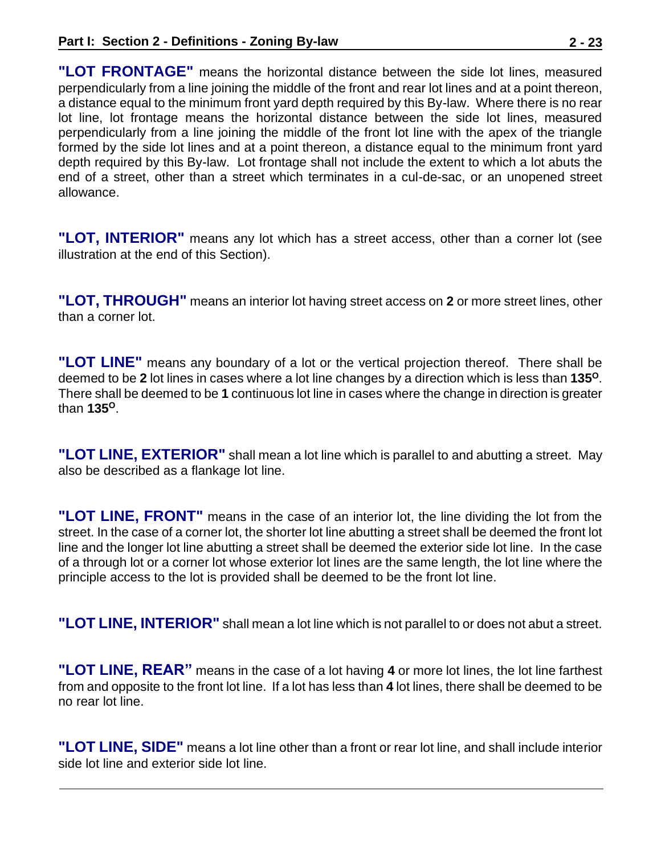**"LOT FRONTAGE"** means the horizontal distance between the side lot lines, measured perpendicularly from a line joining the middle of the front and rear lot lines and at a point thereon, a distance equal to the minimum front yard depth required by this By-law. Where there is no rear lot line, lot frontage means the horizontal distance between the side lot lines, measured perpendicularly from a line joining the middle of the front lot line with the apex of the triangle formed by the side lot lines and at a point thereon, a distance equal to the minimum front yard depth required by this By-law. Lot frontage shall not include the extent to which a lot abuts the end of a street, other than a street which terminates in a cul-de-sac, or an unopened street allowance.

**"LOT, INTERIOR"** means any lot which has a street access, other than a corner lot (see illustration at the end of this Section).

**"LOT, THROUGH"** means an interior lot having street access on **2** or more street lines, other than a corner lot.

**"LOT LINE"** means any boundary of a lot or the vertical projection thereof. There shall be deemed to be **2** lot lines in cases where a lot line changes by a direction which is less than **135<sup>O</sup>**. There shall be deemed to be **1** continuous lot line in cases where the change in direction is greater than **135<sup>O</sup>**.

**"LOT LINE, EXTERIOR"** shall mean a lot line which is parallel to and abutting a street. May also be described as a flankage lot line.

**"LOT LINE, FRONT"** means in the case of an interior lot, the line dividing the lot from the street. In the case of a corner lot, the shorter lot line abutting a street shall be deemed the front lot line and the longer lot line abutting a street shall be deemed the exterior side lot line. In the case of a through lot or a corner lot whose exterior lot lines are the same length, the lot line where the principle access to the lot is provided shall be deemed to be the front lot line.

**"LOT LINE, INTERIOR"** shall mean a lot line which is not parallel to or does not abut a street.

**"LOT LINE, REAR"** means in the case of a lot having **4** or more lot lines, the lot line farthest from and opposite to the front lot line. If a lot has less than **4** lot lines, there shall be deemed to be no rear lot line.

**"LOT LINE, SIDE"** means a lot line other than a front or rear lot line, and shall include interior side lot line and exterior side lot line.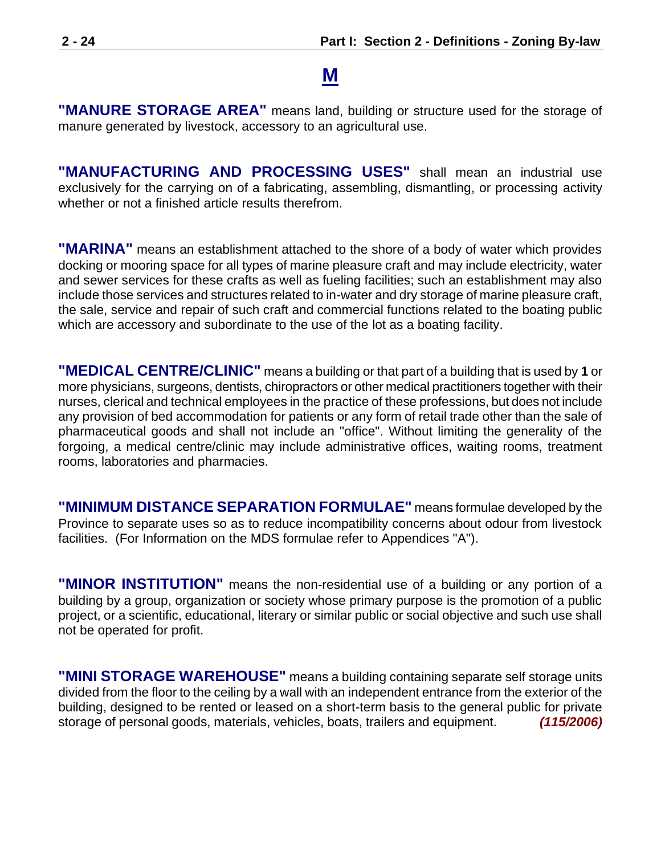#### **M**

<span id="page-23-0"></span>**"MANURE STORAGE AREA"** means land, building or structure used for the storage of manure generated by livestock, accessory to an agricultural use.

**"MANUFACTURING AND PROCESSING USES"** shall mean an industrial use exclusively for the carrying on of a fabricating, assembling, dismantling, or processing activity whether or not a finished article results therefrom.

**"MARINA"** means an establishment attached to the shore of a body of water which provides docking or mooring space for all types of marine pleasure craft and may include electricity, water and sewer services for these crafts as well as fueling facilities; such an establishment may also include those services and structures related to in-water and dry storage of marine pleasure craft, the sale, service and repair of such craft and commercial functions related to the boating public which are accessory and subordinate to the use of the lot as a boating facility.

<span id="page-23-1"></span>**"MEDICAL CENTRE/CLINIC"** means a building or that part of a building that is used by **1** or more physicians, surgeons, dentists, chiropractors or other medical practitioners together with their nurses, clerical and technical employees in the practice of these professions, but does not include any provision of bed accommodation for patients or any form of retail trade other than the sale of pharmaceutical goods and shall not include an "office". Without limiting the generality of the forgoing, a medical centre/clinic may include administrative offices, waiting rooms, treatment rooms, laboratories and pharmacies.

**"MINIMUM DISTANCE SEPARATION FORMULAE"** means formulae developed by the Province to separate uses so as to reduce incompatibility concerns about odour from livestock facilities. (For Information on the MDS formulae refer to Appendices "A").

**"MINOR INSTITUTION"** means the non-residential use of a building or any portion of a building by a group, organization or society whose primary purpose is the promotion of a public project, or a scientific, educational, literary or similar public or social objective and such use shall not be operated for profit.

**"MINI STORAGE WAREHOUSE"** means a building containing separate self storage units divided from the floor to the ceiling by a wall with an independent entrance from the exterior of the building, designed to be rented or leased on a short-term basis to the general public for private storage of personal goods, materials, vehicles, boats, trailers and equipment. *(115/2006)*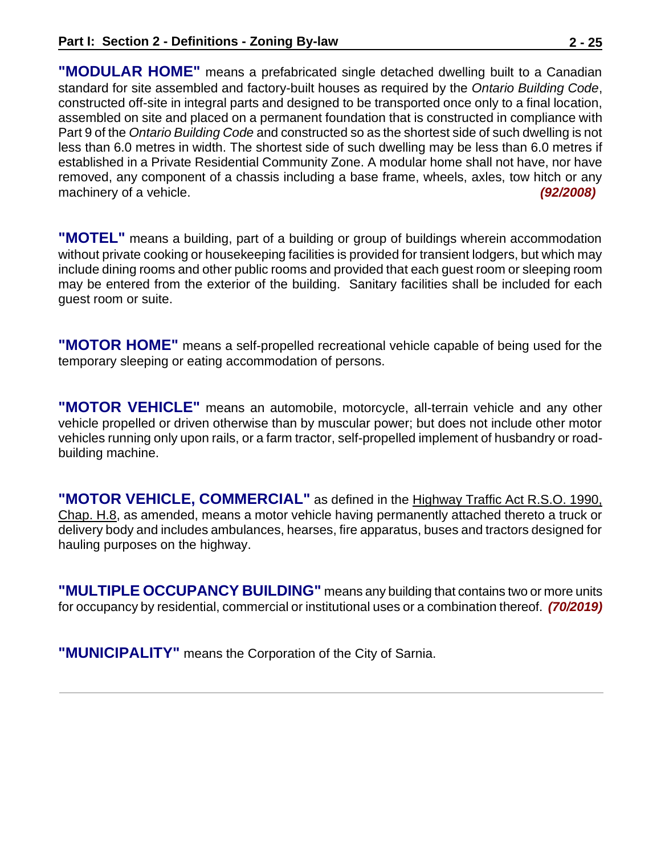**"MODULAR HOME"** means a prefabricated single detached dwelling built to a Canadian standard for site assembled and factory-built houses as required by the *Ontario Building Code*, constructed off-site in integral parts and designed to be transported once only to a final location, assembled on site and placed on a permanent foundation that is constructed in compliance with Part 9 of the *Ontario Building Code* and constructed so as the shortest side of such dwelling is not less than 6.0 metres in width. The shortest side of such dwelling may be less than 6.0 metres if established in a Private Residential Community Zone. A modular home shall not have, nor have removed, any component of a chassis including a base frame, wheels, axles, tow hitch or any machinery of a vehicle. *(92/2008)* 

**"MOTEL"** means a building, part of a building or group of buildings wherein accommodation without private cooking or housekeeping facilities is provided for transient lodgers, but which may include dining rooms and other public rooms and provided that each guest room or sleeping room may be entered from the exterior of the building. Sanitary facilities shall be included for each guest room or suite.

**"MOTOR HOME"** means a self-propelled recreational vehicle capable of being used for the temporary sleeping or eating accommodation of persons.

**"MOTOR VEHICLE"** means an automobile, motorcycle, all-terrain vehicle and any other vehicle propelled or driven otherwise than by muscular power; but does not include other motor vehicles running only upon rails, or a farm tractor, self-propelled implement of husbandry or roadbuilding machine.

**"MOTOR VEHICLE, COMMERCIAL"** as defined in the Highway Traffic Act R.S.O. 1990, Chap. H.8, as amended, means a motor vehicle having permanently attached thereto a truck or delivery body and includes ambulances, hearses, fire apparatus, buses and tractors designed for hauling purposes on the highway.

**"MULTIPLE OCCUPANCY BUILDING"** means any building that contains two or more units for occupancy by residential, commercial or institutional uses or a combination thereof. *(70/2019)*

**"MUNICIPALITY"** means the Corporation of the City of Sarnia.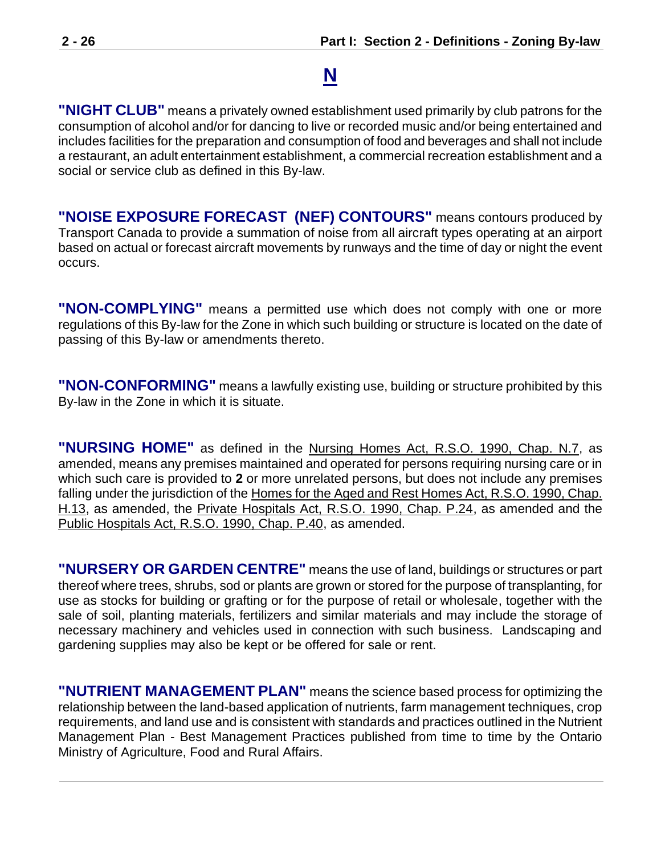#### **N**

<span id="page-25-0"></span>**"NIGHT CLUB"** means a privately owned establishment used primarily by club patrons for the consumption of alcohol and/or for dancing to live or recorded music and/or being entertained and includes facilities for the preparation and consumption of food and beverages and shall not include a restaurant, an adult entertainment establishment, a commercial recreation establishment and a social or service club as defined in this By-law.

**"NOISE EXPOSURE FORECAST (NEF) CONTOURS"** means contours produced by Transport Canada to provide a summation of noise from all aircraft types operating at an airport based on actual or forecast aircraft movements by runways and the time of day or night the event occurs.

**"NON-COMPLYING"** means a permitted use which does not comply with one or more regulations of this By-law for the Zone in which such building or structure is located on the date of passing of this By-law or amendments thereto.

**"NON-CONFORMING"** means a lawfully existing use, building or structure prohibited by this By-law in the Zone in which it is situate.

**"NURSING HOME"** as defined in the Nursing Homes Act, R.S.O. 1990, Chap. N.7, as amended, means any premises maintained and operated for persons requiring nursing care or in which such care is provided to **2** or more unrelated persons, but does not include any premises falling under the jurisdiction of the Homes for the Aged and Rest Homes Act, R.S.O. 1990, Chap. H.13, as amended, the Private Hospitals Act, R.S.O. 1990, Chap. P.24, as amended and the Public Hospitals Act, R.S.O. 1990, Chap. P.40, as amended.

**"NURSERY OR GARDEN CENTRE"** means the use of land, buildings or structures or part thereof where trees, shrubs, sod or plants are grown or stored for the purpose of transplanting, for use as stocks for building or grafting or for the purpose of retail or wholesale, together with the sale of soil, planting materials, fertilizers and similar materials and may include the storage of necessary machinery and vehicles used in connection with such business. Landscaping and gardening supplies may also be kept or be offered for sale or rent.

**"NUTRIENT MANAGEMENT PLAN"** means the science based process for optimizing the relationship between the land-based application of nutrients, farm management techniques, crop requirements, and land use and is consistent with standards and practices outlined in the Nutrient Management Plan - Best Management Practices published from time to time by the Ontario Ministry of Agriculture, Food and Rural Affairs.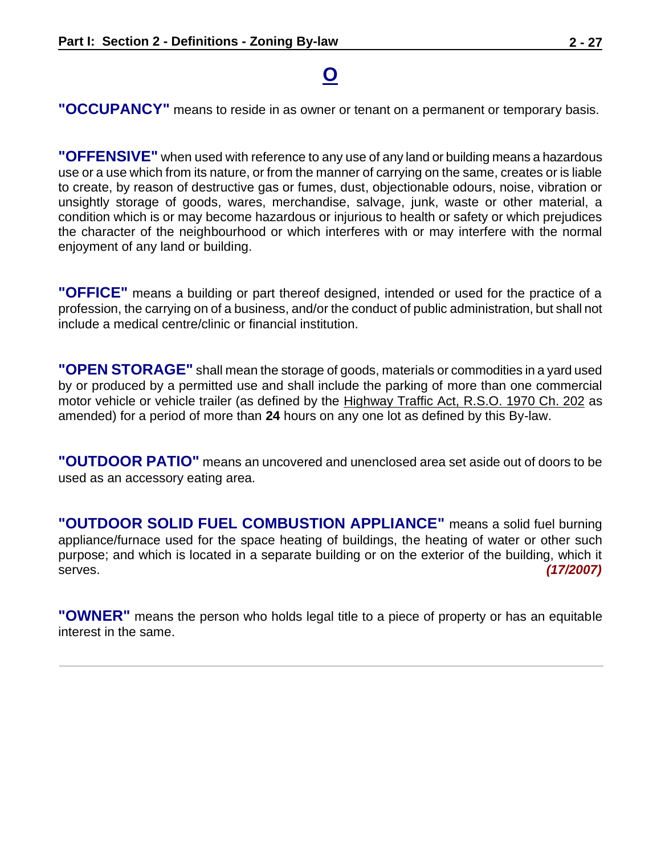### **O**

<span id="page-26-0"></span>**"OCCUPANCY"** means to reside in as owner or tenant on a permanent or temporary basis.

**"OFFENSIVE"** when used with reference to any use of any land or building means a hazardous use or a use which from its nature, or from the manner of carrying on the same, creates or is liable to create, by reason of destructive gas or fumes, dust, objectionable odours, noise, vibration or unsightly storage of goods, wares, merchandise, salvage, junk, waste or other material, a condition which is or may become hazardous or injurious to health or safety or which prejudices the character of the neighbourhood or which interferes with or may interfere with the normal enjoyment of any land or building.

**"OFFICE"** means a building or part thereof designed, intended or used for the practice of a profession, the carrying on of a business, and/or the conduct of public administration, but shall not include a medical centre/clinic or financial institution.

**"OPEN STORAGE"** shall mean the storage of goods, materials or commodities in a yard used by or produced by a permitted use and shall include the parking of more than one commercial motor vehicle or vehicle trailer (as defined by the Highway Traffic Act, R.S.O. 1970 Ch. 202 as amended) for a period of more than **24** hours on any one lot as defined by this By-law.

**"OUTDOOR PATIO"** means an uncovered and unenclosed area set aside out of doors to be used as an accessory eating area.

**"OUTDOOR SOLID FUEL COMBUSTION APPLIANCE"** means a solid fuel burning appliance/furnace used for the space heating of buildings, the heating of water or other such purpose; and which is located in a separate building or on the exterior of the building, which it serves. *(17/2007)*

**"OWNER"** means the person who holds legal title to a piece of property or has an equitable interest in the same.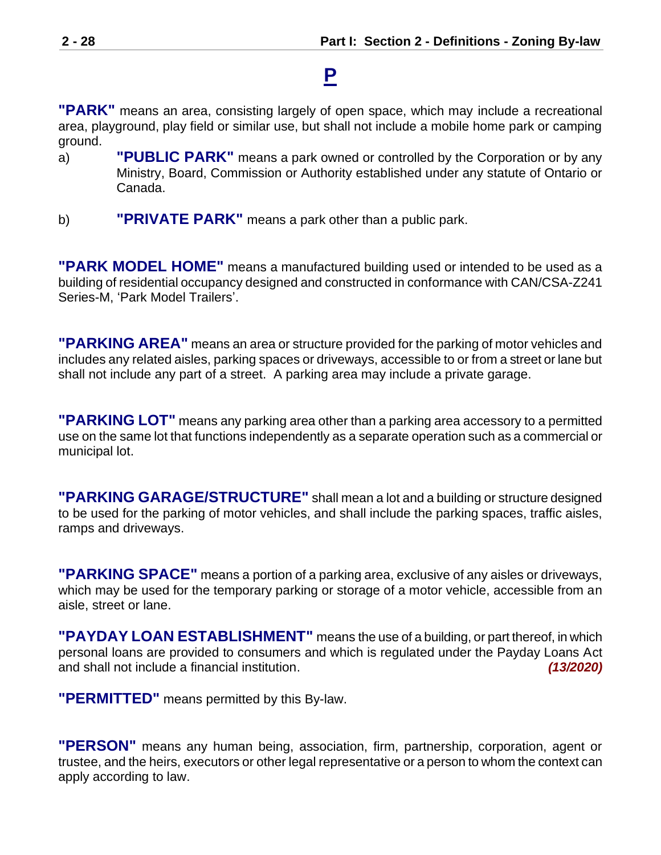### **P**

<span id="page-27-0"></span>**"PARK"** means an area, consisting largely of open space, which may include a recreational area, playground, play field or similar use, but shall not include a mobile home park or camping ground.

- a) **"PUBLIC PARK"** means a park owned or controlled by the Corporation or by any Ministry, Board, Commission or Authority established under any statute of Ontario or Canada.
- b) **"PRIVATE PARK"** means a park other than a public park.

**"PARK MODEL HOME"** means a manufactured building used or intended to be used as a building of residential occupancy designed and constructed in conformance with CAN/CSA-Z241 Series-M, 'Park Model Trailers'.

**"PARKING AREA"** means an area or structure provided for the parking of motor vehicles and includes any related aisles, parking spaces or driveways, accessible to or from a street or lane but shall not include any part of a street. A parking area may include a private garage.

**"PARKING LOT"** means any parking area other than a parking area accessory to a permitted use on the same lot that functions independently as a separate operation such as a commercial or municipal lot.

**"PARKING GARAGE/STRUCTURE"** shall mean a lot and a building or structure designed to be used for the parking of motor vehicles, and shall include the parking spaces, traffic aisles, ramps and driveways.

**"PARKING SPACE"** means a portion of a parking area, exclusive of any aisles or driveways, which may be used for the temporary parking or storage of a motor vehicle, accessible from an aisle, street or lane.

**"PAYDAY LOAN ESTABLISHMENT"** means the use of a building, or part thereof, in which personal loans are provided to consumers and which is regulated under the Payday Loans Act and shall not include a financial institution. *(13/2020)*

**"PERMITTED"** means permitted by this By-law.

**"PERSON"** means any human being, association, firm, partnership, corporation, agent or trustee, and the heirs, executors or other legal representative or a person to whom the context can apply according to law.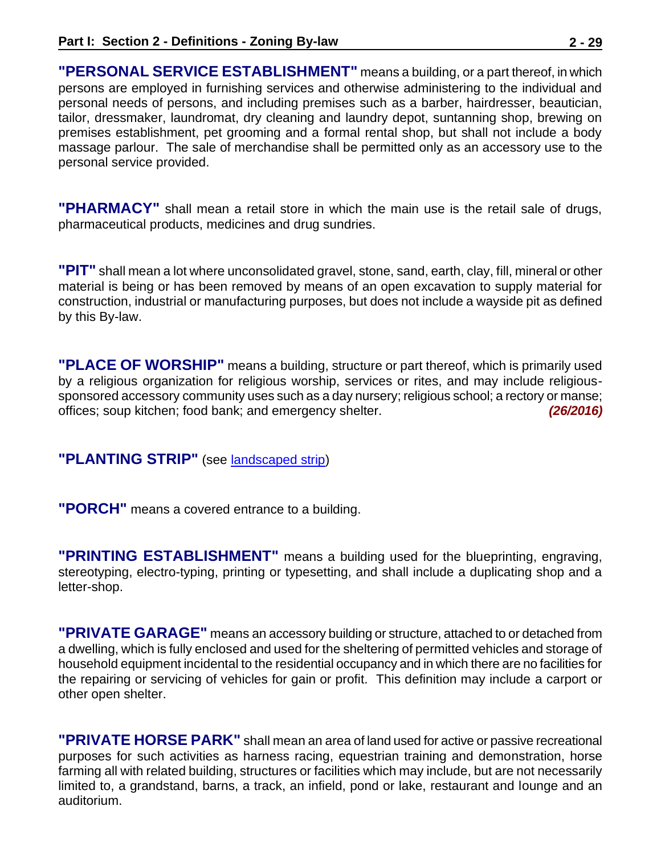**"PERSONAL SERVICE ESTABLISHMENT"** means a building, or a part thereof, in which persons are employed in furnishing services and otherwise administering to the individual and personal needs of persons, and including premises such as a barber, hairdresser, beautician, tailor, dressmaker, laundromat, dry cleaning and laundry depot, suntanning shop, brewing on premises establishment, pet grooming and a formal rental shop, but shall not include a body massage parlour. The sale of merchandise shall be permitted only as an accessory use to the personal service provided.

**"PHARMACY"** shall mean a retail store in which the main use is the retail sale of drugs, pharmaceutical products, medicines and drug sundries.

**"PIT"** shall mean a lot where unconsolidated gravel, stone, sand, earth, clay, fill, mineral or other material is being or has been removed by means of an open excavation to supply material for construction, industrial or manufacturing purposes, but does not include a wayside pit as defined by this By-law.

<span id="page-28-0"></span>**"PLACE OF WORSHIP"** means a building, structure or part thereof, which is primarily used by a religious organization for religious worship, services or rites, and may include religioussponsored accessory community uses such as a day nursery; religious school; a rectory or manse; offices; soup kitchen; food bank; and emergency shelter. *(26/2016)*

#### **"PLANTING STRIP"** (see [landscaped strip\)](#page-20-1)

**"PORCH"** means a covered entrance to a building.

**"PRINTING ESTABLISHMENT"** means a building used for the blueprinting, engraving, stereotyping, electro-typing, printing or typesetting, and shall include a duplicating shop and a letter-shop.

**"PRIVATE GARAGE"** means an accessory building or structure, attached to or detached from a dwelling, which is fully enclosed and used for the sheltering of permitted vehicles and storage of household equipment incidental to the residential occupancy and in which there are no facilities for the repairing or servicing of vehicles for gain or profit. This definition may include a carport or other open shelter.

**"PRIVATE HORSE PARK"** shall mean an area of land used for active or passive recreational purposes for such activities as harness racing, equestrian training and demonstration, horse farming all with related building, structures or facilities which may include, but are not necessarily limited to, a grandstand, barns, a track, an infield, pond or lake, restaurant and lounge and an auditorium.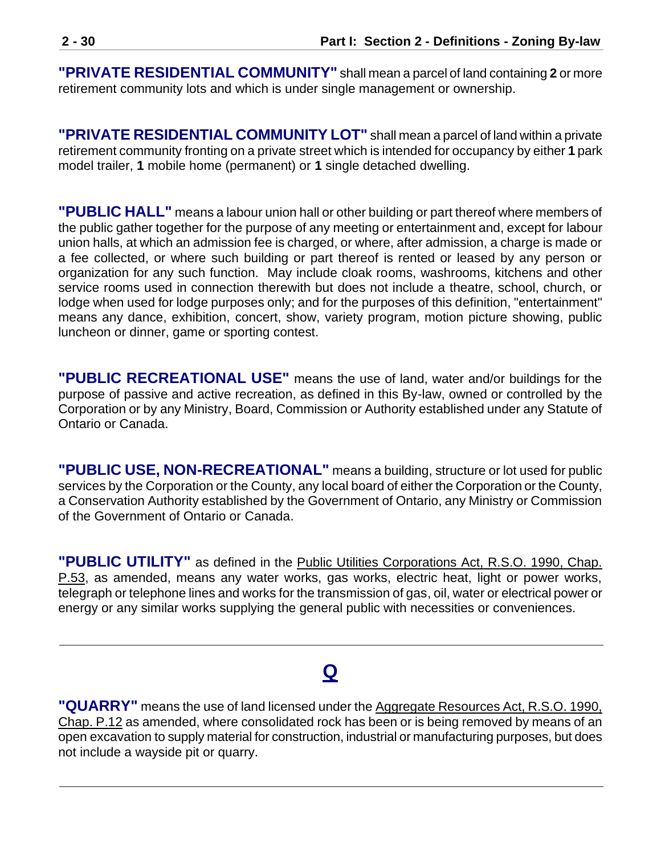**"PRIVATE RESIDENTIAL COMMUNITY"** shall mean a parcel of land containing **2** or more retirement community lots and which is under single management or ownership.

**"PRIVATE RESIDENTIAL COMMUNITY LOT"** shall mean a parcel of land within a private retirement community fronting on a private street which is intended for occupancy by either **1** park model trailer, **1** mobile home (permanent) or **1** single detached dwelling.

**"PUBLIC HALL"** means a labour union hall or other building or part thereof where members of the public gather together for the purpose of any meeting or entertainment and, except for labour union halls, at which an admission fee is charged, or where, after admission, a charge is made or a fee collected, or where such building or part thereof is rented or leased by any person or organization for any such function. May include cloak rooms, washrooms, kitchens and other service rooms used in connection therewith but does not include a theatre, school, church, or lodge when used for lodge purposes only; and for the purposes of this definition, "entertainment" means any dance, exhibition, concert, show, variety program, motion picture showing, public luncheon or dinner, game or sporting contest.

**"PUBLIC RECREATIONAL USE"** means the use of land, water and/or buildings for the purpose of passive and active recreation, as defined in this By-law, owned or controlled by the Corporation or by any Ministry, Board, Commission or Authority established under any Statute of Ontario or Canada.

**"PUBLIC USE, NON-RECREATIONAL"** means a building, structure or lot used for public services by the Corporation or the County, any local board of either the Corporation or the County, a Conservation Authority established by the Government of Ontario, any Ministry or Commission of the Government of Ontario or Canada.

**"PUBLIC UTILITY"** as defined in the Public Utilities Corporations Act, R.S.O. 1990, Chap. P.53, as amended, means any water works, gas works, electric heat, light or power works, telegraph or telephone lines and works for the transmission of gas, oil, water or electrical power or energy or any similar works supplying the general public with necessities or conveniences.

#### **Q**

<span id="page-29-0"></span>**"QUARRY"** means the use of land licensed under the Aggregate Resources Act, R.S.O. 1990, Chap. P.12 as amended, where consolidated rock has been or is being removed by means of an open excavation to supply material for construction, industrial or manufacturing purposes, but does not include a wayside pit or quarry.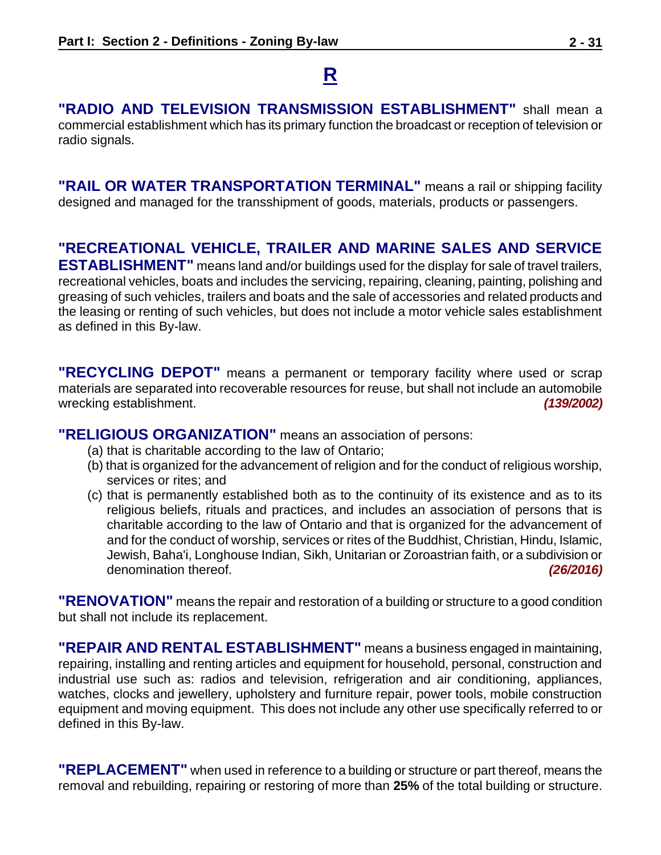### **R**

<span id="page-30-0"></span>**"RADIO AND TELEVISION TRANSMISSION ESTABLISHMENT"** shall mean a commercial establishment which has its primary function the broadcast or reception of television or radio signals.

**"RAIL OR WATER TRANSPORTATION TERMINAL"** means a rail or shipping facility designed and managed for the transshipment of goods, materials, products or passengers.

#### **"RECREATIONAL VEHICLE, TRAILER AND MARINE SALES AND SERVICE**

**ESTABLISHMENT"** means land and/or buildings used for the display for sale of travel trailers, recreational vehicles, boats and includes the servicing, repairing, cleaning, painting, polishing and greasing of such vehicles, trailers and boats and the sale of accessories and related products and the leasing or renting of such vehicles, but does not include a motor vehicle sales establishment as defined in this By-law.

**"RECYCLING DEPOT"** means a permanent or temporary facility where used or scrap materials are separated into recoverable resources for reuse, but shall not include an automobile wrecking establishment. *(139/2002)*

#### **"RELIGIOUS ORGANIZATION"** means an association of persons:

- (a) that is charitable according to the law of Ontario;
- (b) that is organized for the advancement of religion and for the conduct of religious worship, services or rites; and
- (c) that is permanently established both as to the continuity of its existence and as to its religious beliefs, rituals and practices, and includes an association of persons that is charitable according to the law of Ontario and that is organized for the advancement of and for the conduct of worship, services or rites of the Buddhist, Christian, Hindu, Islamic, Jewish, Baha'i, Longhouse Indian, Sikh, Unitarian or Zoroastrian faith, or a subdivision or denomination thereof. *(26/2016) (26/2016)*

**"RENOVATION"** means the repair and restoration of a building or structure to a good condition but shall not include its replacement.

**"REPAIR AND RENTAL ESTABLISHMENT"** means a business engaged in maintaining, repairing, installing and renting articles and equipment for household, personal, construction and industrial use such as: radios and television, refrigeration and air conditioning, appliances, watches, clocks and jewellery, upholstery and furniture repair, power tools, mobile construction equipment and moving equipment. This does not include any other use specifically referred to or defined in this By-law.

**"REPLACEMENT"** when used in reference to a building or structure or part thereof, means the removal and rebuilding, repairing or restoring of more than **25%** of the total building or structure.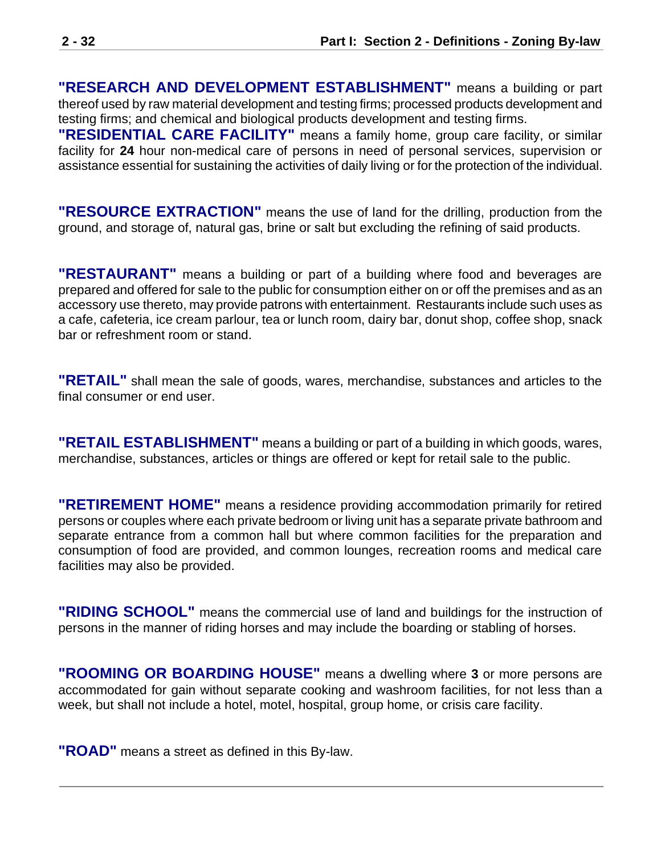**"RESEARCH AND DEVELOPMENT ESTABLISHMENT"** means a building or part thereof used by raw material development and testing firms; processed products development and testing firms; and chemical and biological products development and testing firms.

**"RESIDENTIAL CARE FACILITY"** means a family home, group care facility, or similar facility for **24** hour non-medical care of persons in need of personal services, supervision or assistance essential for sustaining the activities of daily living or for the protection of the individual.

**"RESOURCE EXTRACTION"** means the use of land for the drilling, production from the ground, and storage of, natural gas, brine or salt but excluding the refining of said products.

**"RESTAURANT"** means a building or part of a building where food and beverages are prepared and offered for sale to the public for consumption either on or off the premises and as an accessory use thereto, may provide patrons with entertainment. Restaurants include such uses as a cafe, cafeteria, ice cream parlour, tea or lunch room, dairy bar, donut shop, coffee shop, snack bar or refreshment room or stand.

**"RETAIL"** shall mean the sale of goods, wares, merchandise, substances and articles to the final consumer or end user.

**"RETAIL ESTABLISHMENT"** means a building or part of a building in which goods, wares, merchandise, substances, articles or things are offered or kept for retail sale to the public.

**"RETIREMENT HOME"** means a residence providing accommodation primarily for retired persons or couples where each private bedroom or living unit has a separate private bathroom and separate entrance from a common hall but where common facilities for the preparation and consumption of food are provided, and common lounges, recreation rooms and medical care facilities may also be provided.

**"RIDING SCHOOL"** means the commercial use of land and buildings for the instruction of persons in the manner of riding horses and may include the boarding or stabling of horses.

**"ROOMING OR BOARDING HOUSE"** means a dwelling where **3** or more persons are accommodated for gain without separate cooking and washroom facilities, for not less than a week, but shall not include a hotel, motel, hospital, group home, or crisis care facility.

<span id="page-31-0"></span>**"ROAD"** means a street as defined in this By-law.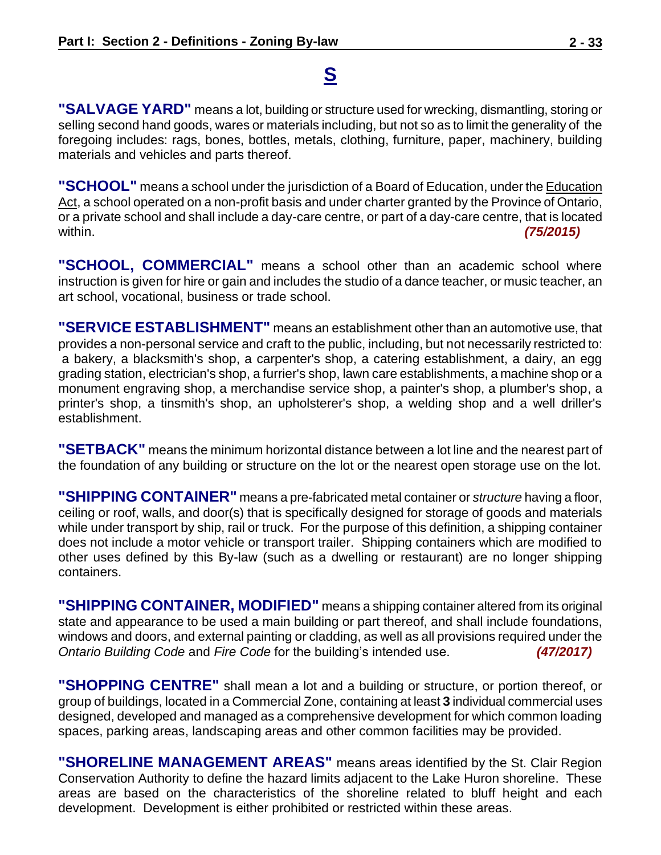### **S**

**"SALVAGE YARD"** means a lot, building or structure used for wrecking, dismantling, storing or selling second hand goods, wares or materials including, but not so as to limit the generality of the foregoing includes: rags, bones, bottles, metals, clothing, furniture, paper, machinery, building materials and vehicles and parts thereof.

**"SCHOOL"** means a school under the jurisdiction of a Board of Education, under the Education Act, a school operated on a non-profit basis and under charter granted by the Province of Ontario, or a private school and shall include a day-care centre, or part of a day-care centre, that is located within. *(75/2015)*

**"SCHOOL, COMMERCIAL"** means a school other than an academic school where instruction is given for hire or gain and includes the studio of a dance teacher, or music teacher, an art school, vocational, business or trade school.

**"SERVICE ESTABLISHMENT"** means an establishment other than an automotive use, that provides a non-personal service and craft to the public, including, but not necessarily restricted to: a bakery, a blacksmith's shop, a carpenter's shop, a catering establishment, a dairy, an egg grading station, electrician's shop, a furrier's shop, lawn care establishments, a machine shop or a monument engraving shop, a merchandise service shop, a painter's shop, a plumber's shop, a printer's shop, a tinsmith's shop, an upholsterer's shop, a welding shop and a well driller's establishment.

**"SETBACK"** means the minimum horizontal distance between a lot line and the nearest part of the foundation of any building or structure on the lot or the nearest open storage use on the lot.

**"SHIPPING CONTAINER"** means a pre-fabricated metal container or *structure* having a floor, ceiling or roof, walls, and door(s) that is specifically designed for storage of goods and materials while under transport by ship, rail or truck. For the purpose of this definition, a shipping container does not include a motor vehicle or transport trailer. Shipping containers which are modified to other uses defined by this By-law (such as a dwelling or restaurant) are no longer shipping containers.

**"SHIPPING CONTAINER, MODIFIED"** means a shipping container altered from its original state and appearance to be used a main building or part thereof, and shall include foundations, windows and doors, and external painting or cladding, as well as all provisions required under the *Ontario Building Code* and *Fire Code* for the building's intended use. *(47/2017)*

**"SHOPPING CENTRE"** shall mean a lot and a building or structure, or portion thereof, or group of buildings, located in a Commercial Zone, containing at least **3** individual commercial uses designed, developed and managed as a comprehensive development for which common loading spaces, parking areas, landscaping areas and other common facilities may be provided.

**"SHORELINE MANAGEMENT AREAS"** means areas identified by the St. Clair Region Conservation Authority to define the hazard limits adjacent to the Lake Huron shoreline. These areas are based on the characteristics of the shoreline related to bluff height and each development. Development is either prohibited or restricted within these areas.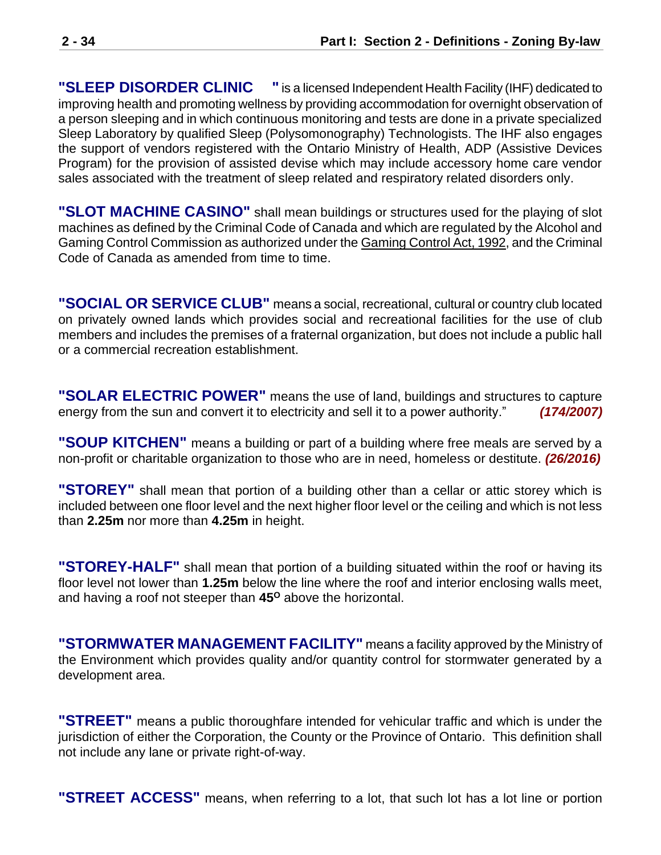**"SLEEP DISORDER CLINIC "** is a licensed Independent Health Facility (IHF) dedicated to improving health and promoting wellness by providing accommodation for overnight observation of a person sleeping and in which continuous monitoring and tests are done in a private specialized Sleep Laboratory by qualified Sleep (Polysomonography) Technologists. The IHF also engages the support of vendors registered with the Ontario Ministry of Health, ADP (Assistive Devices Program) for the provision of assisted devise which may include accessory home care vendor sales associated with the treatment of sleep related and respiratory related disorders only.

**"SLOT MACHINE CASINO"** shall mean buildings or structures used for the playing of slot machines as defined by the Criminal Code of Canada and which are regulated by the Alcohol and Gaming Control Commission as authorized under the Gaming Control Act, 1992, and the Criminal Code of Canada as amended from time to time.

**"SOCIAL OR SERVICE CLUB"** means a social, recreational, cultural or country club located on privately owned lands which provides social and recreational facilities for the use of club members and includes the premises of a fraternal organization, but does not include a public hall or a commercial recreation establishment.

**"SOLAR ELECTRIC POWER"** means the use of land, buildings and structures to capture energy from the sun and convert it to electricity and sell it to a power authority." *(174/2007)*

**"SOUP KITCHEN"** means a building or part of a building where free meals are served by a non-profit or charitable organization to those who are in need, homeless or destitute. *(26/2016)*

**"STOREY"** shall mean that portion of a building other than a cellar or attic storey which is included between one floor level and the next higher floor level or the ceiling and which is not less than **2.25m** nor more than **4.25m** in height.

**"STOREY-HALF"** shall mean that portion of a building situated within the roof or having its floor level not lower than **1.25m** below the line where the roof and interior enclosing walls meet, and having a roof not steeper than **45<sup>O</sup>** above the horizontal.

**"STORMWATER MANAGEMENT FACILITY"** means a facility approved by the Ministry of the Environment which provides quality and/or quantity control for stormwater generated by a development area.

**"STREET"** means a public thoroughfare intended for vehicular traffic and which is under the jurisdiction of either the Corporation, the County or the Province of Ontario. This definition shall not include any lane or private right-of-way.

**"STREET ACCESS"** means, when referring to a lot, that such lot has a lot line or portion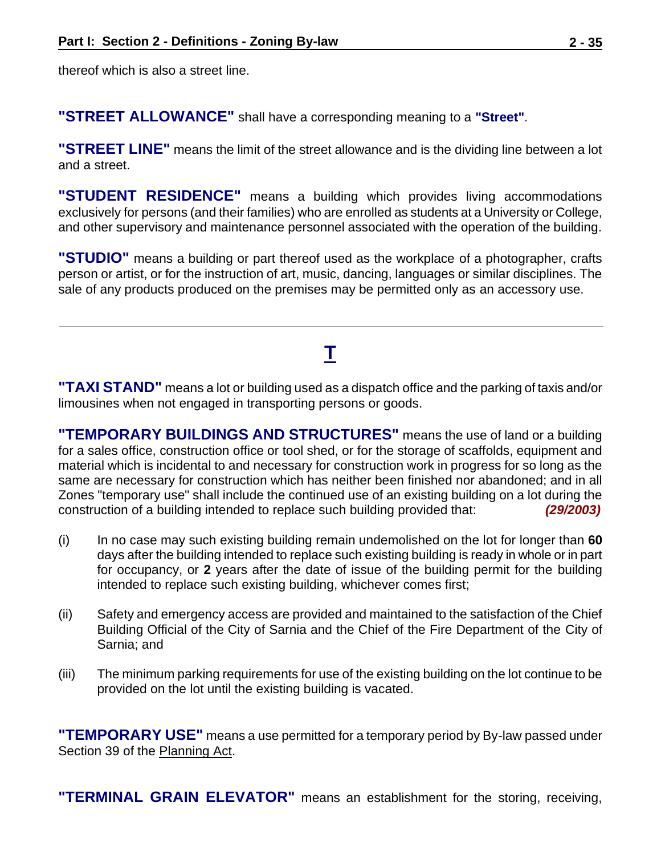thereof which is also a street line.

**"STREET ALLOWANCE"** shall have a corresponding meaning to a **"Street"**.

**"STREET LINE"** means the limit of the street allowance and is the dividing line between a lot and a street.

**"STUDENT RESIDENCE"** means a building which provides living accommodations exclusively for persons (and their families) who are enrolled as students at a University or College, and other supervisory and maintenance personnel associated with the operation of the building.

**"STUDIO"** means a building or part thereof used as the workplace of a photographer, crafts person or artist, or for the instruction of art, music, dancing, languages or similar disciplines. The sale of any products produced on the premises may be permitted only as an accessory use.

## **T**

<span id="page-34-0"></span>**"TAXI STAND"** means a lot or building used as a dispatch office and the parking of taxis and/or limousines when not engaged in transporting persons or goods.

**"TEMPORARY BUILDINGS AND STRUCTURES"** means the use of land or a building for a sales office, construction office or tool shed, or for the storage of scaffolds, equipment and material which is incidental to and necessary for construction work in progress for so long as the same are necessary for construction which has neither been finished nor abandoned; and in all Zones "temporary use" shall include the continued use of an existing building on a lot during the construction of a building intended to replace such building provided that: *(29/2003)*

- (i) In no case may such existing building remain undemolished on the lot for longer than **60** days after the building intended to replace such existing building is ready in whole or in part for occupancy, or **2** years after the date of issue of the building permit for the building intended to replace such existing building, whichever comes first;
- (ii) Safety and emergency access are provided and maintained to the satisfaction of the Chief Building Official of the City of Sarnia and the Chief of the Fire Department of the City of Sarnia; and
- (iii) The minimum parking requirements for use of the existing building on the lot continue to be provided on the lot until the existing building is vacated.

**"TEMPORARY USE"** means a use permitted for a temporary period by By-law passed under Section 39 of the Planning Act.

**"TERMINAL GRAIN ELEVATOR"** means an establishment for the storing, receiving,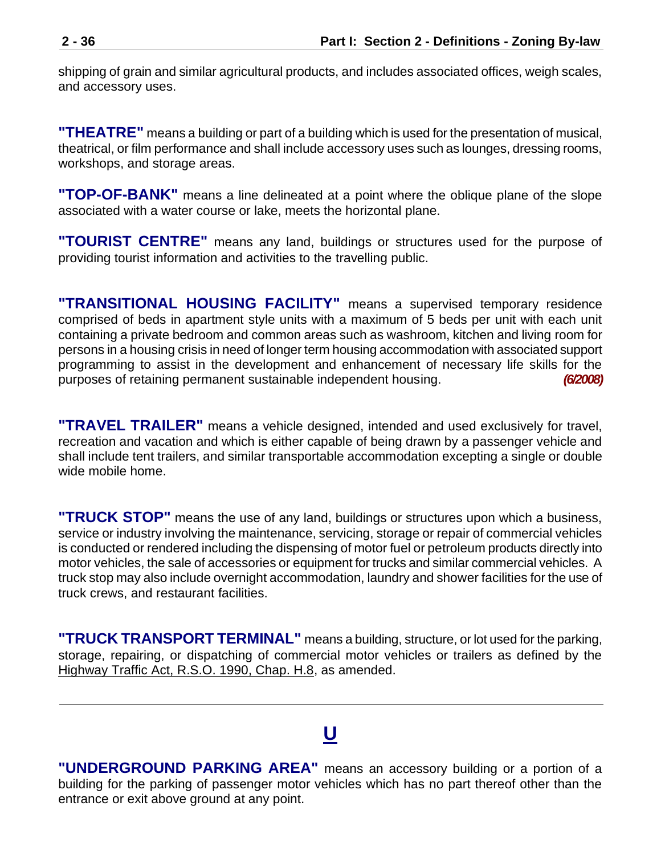shipping of grain and similar agricultural products, and includes associated offices, weigh scales, and accessory uses.

**"THEATRE"** means a building or part of a building which is used for the presentation of musical, theatrical, or film performance and shall include accessory uses such as lounges, dressing rooms, workshops, and storage areas.

**"TOP-OF-BANK"** means a line delineated at a point where the oblique plane of the slope associated with a water course or lake, meets the horizontal plane.

**"TOURIST CENTRE"** means any land, buildings or structures used for the purpose of providing tourist information and activities to the travelling public.

**"TRANSITIONAL HOUSING FACILITY"** means a supervised temporary residence comprised of beds in apartment style units with a maximum of 5 beds per unit with each unit containing a private bedroom and common areas such as washroom, kitchen and living room for persons in a housing crisis in need of longer term housing accommodation with associated support programming to assist in the development and enhancement of necessary life skills for the purposes of retaining permanent sustainable independent housing. *(6/2008)*

**"TRAVEL TRAILER"** means a vehicle designed, intended and used exclusively for travel, recreation and vacation and which is either capable of being drawn by a passenger vehicle and shall include tent trailers, and similar transportable accommodation excepting a single or double wide mobile home.

**"TRUCK STOP"** means the use of any land, buildings or structures upon which a business, service or industry involving the maintenance, servicing, storage or repair of commercial vehicles is conducted or rendered including the dispensing of motor fuel or petroleum products directly into motor vehicles, the sale of accessories or equipment for trucks and similar commercial vehicles. A truck stop may also include overnight accommodation, laundry and shower facilities for the use of truck crews, and restaurant facilities.

**"TRUCK TRANSPORT TERMINAL"** means a building, structure, or lot used for the parking, storage, repairing, or dispatching of commercial motor vehicles or trailers as defined by the Highway Traffic Act, R.S.O. 1990, Chap. H.8, as amended.

### **U**

<span id="page-35-0"></span>**"UNDERGROUND PARKING AREA"** means an accessory building or a portion of a building for the parking of passenger motor vehicles which has no part thereof other than the entrance or exit above ground at any point.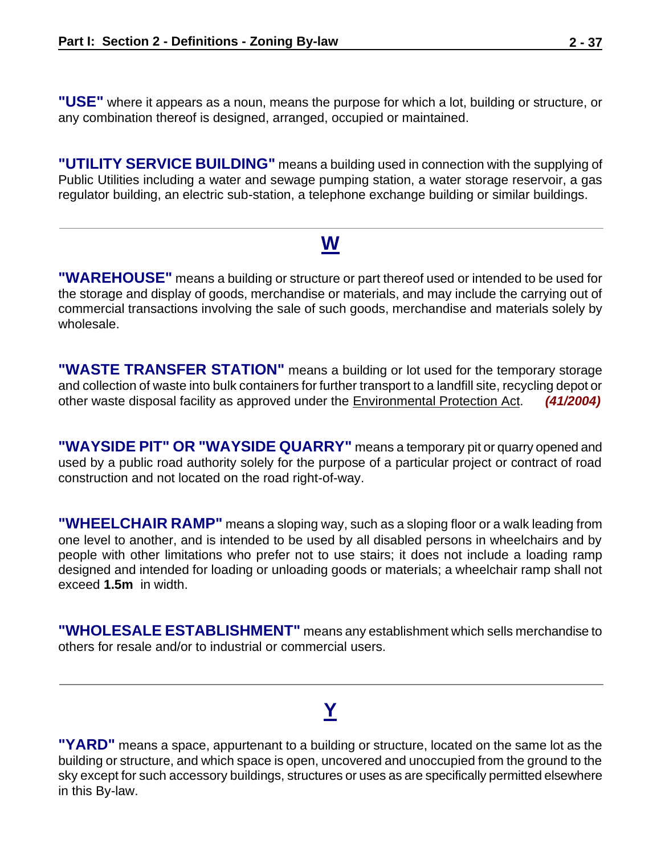**"USE"** where it appears as a noun, means the purpose for which a lot, building or structure, or any combination thereof is designed, arranged, occupied or maintained.

**"UTILITY SERVICE BUILDING"** means a building used in connection with the supplying of Public Utilities including a water and sewage pumping station, a water storage reservoir, a gas regulator building, an electric sub-station, a telephone exchange building or similar buildings.

#### <span id="page-36-0"></span>**W**

**"WAREHOUSE"** means a building or structure or part thereof used or intended to be used for the storage and display of goods, merchandise or materials, and may include the carrying out of commercial transactions involving the sale of such goods, merchandise and materials solely by wholesale.

**"WASTE TRANSFER STATION"** means a building or lot used for the temporary storage and collection of waste into bulk containers for further transport to a landfill site, recycling depot or other waste disposal facility as approved under the Environmental Protection Act. *(41/2004)*

**"WAYSIDE PIT" OR "WAYSIDE QUARRY"** means a temporary pit or quarry opened and used by a public road authority solely for the purpose of a particular project or contract of road construction and not located on the road right-of-way.

**"WHEELCHAIR RAMP"** means a sloping way, such as a sloping floor or a walk leading from one level to another, and is intended to be used by all disabled persons in wheelchairs and by people with other limitations who prefer not to use stairs; it does not include a loading ramp designed and intended for loading or unloading goods or materials; a wheelchair ramp shall not exceed **1.5m** in width.

**"WHOLESALE ESTABLISHMENT"** means any establishment which sells merchandise to others for resale and/or to industrial or commercial users.

### **Y**

<span id="page-36-1"></span>**"YARD"** means a space, appurtenant to a building or structure, located on the same lot as the building or structure, and which space is open, uncovered and unoccupied from the ground to the sky except for such accessory buildings, structures or uses as are specifically permitted elsewhere in this By-law.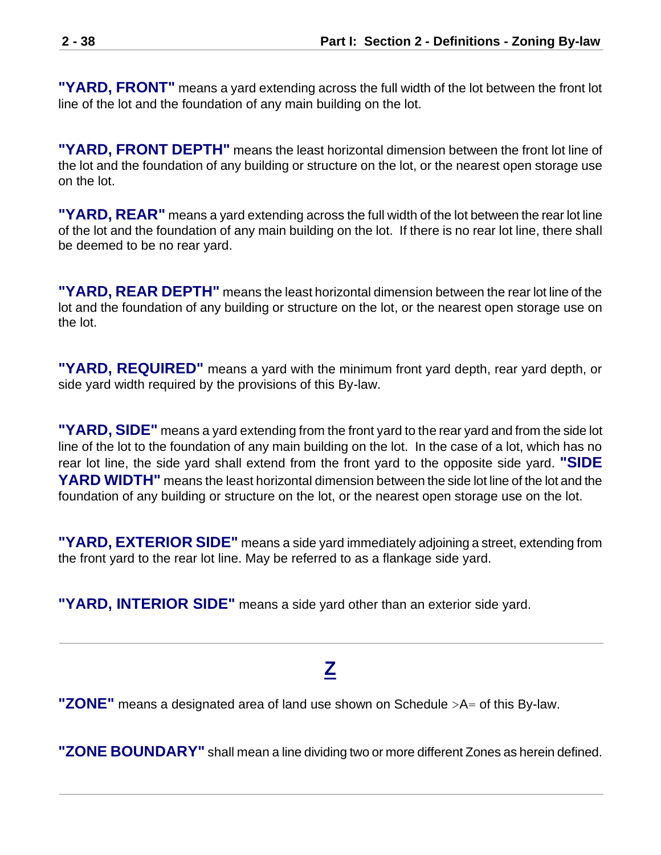**"YARD, FRONT"** means a yard extending across the full width of the lot between the front lot line of the lot and the foundation of any main building on the lot.

**"YARD, FRONT DEPTH"** means the least horizontal dimension between the front lot line of the lot and the foundation of any building or structure on the lot, or the nearest open storage use on the lot.

**"YARD, REAR"** means a yard extending across the full width of the lot between the rear lot line of the lot and the foundation of any main building on the lot. If there is no rear lot line, there shall be deemed to be no rear yard.

**"YARD, REAR DEPTH"** means the least horizontal dimension between the rear lot line of the lot and the foundation of any building or structure on the lot, or the nearest open storage use on the lot.

**"YARD, REQUIRED"** means a yard with the minimum front yard depth, rear yard depth, or side yard width required by the provisions of this By-law.

**"YARD, SIDE"** means a yard extending from the front yard to the rear yard and from the side lot line of the lot to the foundation of any main building on the lot. In the case of a lot, which has no rear lot line, the side yard shall extend from the front yard to the opposite side yard. **"SIDE YARD WIDTH"** means the least horizontal dimension between the side lot line of the lot and the foundation of any building or structure on the lot, or the nearest open storage use on the lot.

**"YARD, EXTERIOR SIDE"** means a side yard immediately adjoining a street, extending from the front yard to the rear lot line. May be referred to as a flankage side yard.

**"YARD, INTERIOR SIDE"** means a side yard other than an exterior side yard.

#### **Z**

<span id="page-37-0"></span>"**ZONE**" means a designated area of land use shown on Schedule >A= of this By-law.

**"ZONE BOUNDARY"** shall mean a line dividing two or more different Zones as herein defined.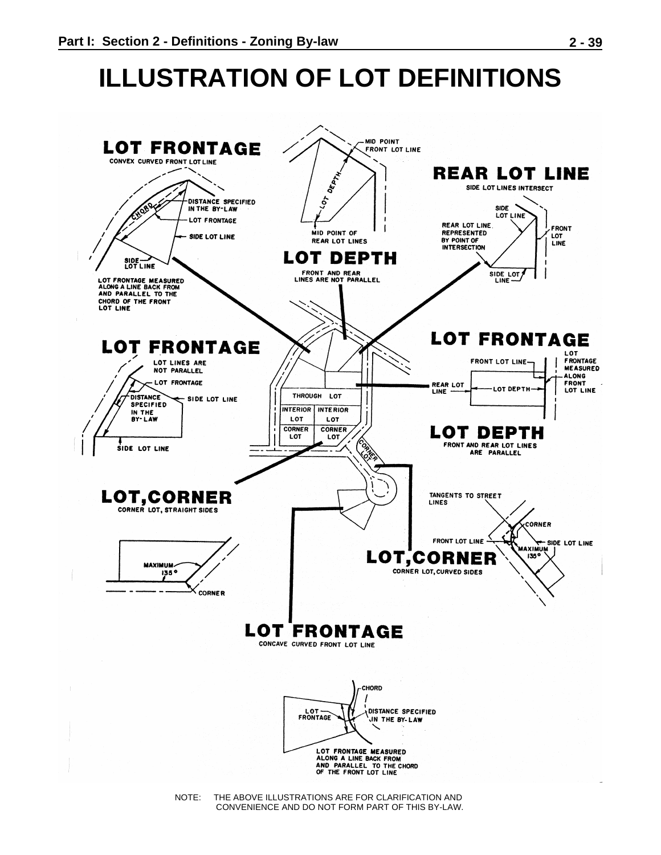# <span id="page-38-0"></span>**ILLUSTRATION OF LOT DEFINITIONS**



CONVENIENCE AND DO NOT FORM PART OF THIS BY-LAW.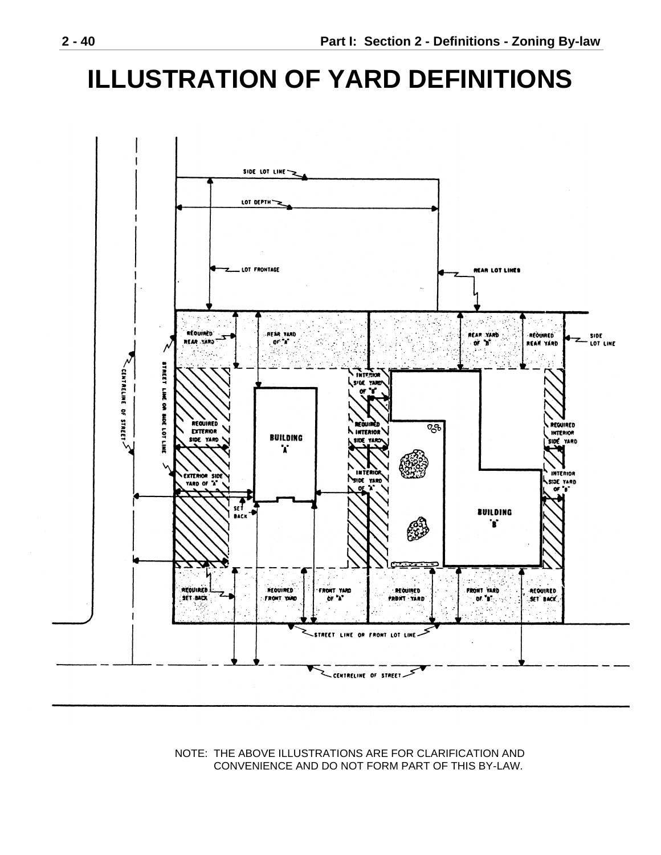# **ILLUSTRATION OF YARD DEFINITIONS**



NOTE: THE ABOVE ILLUSTRATIONS ARE FOR CLARIFICATION AND CONVENIENCE AND DO NOT FORM PART OF THIS BY-LAW.